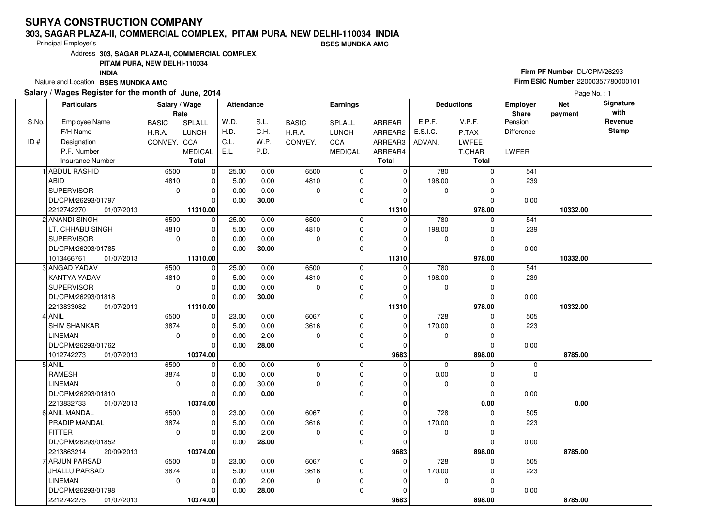### **303, SAGAR PLAZA-II, COMMERCIAL COMPLEX, PITAM PURA, NEW DELHI-110034 INDIABSES MUNDKA AMC**

Principal Employer's

Address**303, SAGAR PLAZA-II, COMMERCIAL COMPLEX,**

### **PITAM PURA, NEW DELHI-110034**

**INDIA**

Nature and Location **BSES MUNDKA AMC** 

### **Salary / Wages Register for the month of June, 2014**

# **Firm PF Number** DL/CPM/26293 **Firm ESIC Number** <sup>22000357780000101</sup>

|       | <b>Particulars</b>       | Salary / Wage<br>Rate |                | <b>Attendance</b> |       |              | Earnings       |              |                  | <b>Deductions</b> | Employer<br><b>Share</b> | <b>Net</b><br>payment | Signature<br>with |
|-------|--------------------------|-----------------------|----------------|-------------------|-------|--------------|----------------|--------------|------------------|-------------------|--------------------------|-----------------------|-------------------|
| S.No. | <b>Employee Name</b>     | <b>BASIC</b>          | SPLALL         | W.D.              | S.L.  | <b>BASIC</b> | <b>SPLALL</b>  | ARREAR       | E.P.F.           | V.P.F.            | Pension                  |                       | Revenue           |
|       | F/H Name                 | H.R.A.                | <b>LUNCH</b>   | H.D.              | C.H.  | H.R.A.       | <b>LUNCH</b>   | ARREAR2      | E.S.I.C.         | P.TAX             | Difference               |                       | <b>Stamp</b>      |
| ID#   | Designation              | CONVEY. CCA           |                | C.L.              | W.P.  | CONVEY.      | CCA            | ARREAR3      | ADVAN.           | <b>LWFEE</b>      |                          |                       |                   |
|       | P.F. Number              |                       | <b>MEDICAL</b> | E.L.              | P.D.  |              | <b>MEDICAL</b> | ARREAR4      |                  | T.CHAR            | LWFER                    |                       |                   |
|       | <b>Insurance Number</b>  |                       | <b>Total</b>   |                   |       |              |                | <b>Total</b> |                  | Total             |                          |                       |                   |
|       | 1 ABDUL RASHID           | 6500                  | $\overline{0}$ | 25.00             | 0.00  | 6500         | 0              | 0            | 780              | $\Omega$          | 541                      |                       |                   |
|       | <b>ABID</b>              | 4810                  | $\Omega$       | 5.00              | 0.00  | 4810         | 0              | 0            | 198.00           | 0                 | 239                      |                       |                   |
|       | <b>SUPERVISOR</b>        | $\mathbf 0$           | $\Omega$       | 0.00              | 0.00  | $\Omega$     | 0              | O            | $\mathbf 0$      | $\Omega$          |                          |                       |                   |
|       | DL/CPM/26293/01797       |                       | $\Omega$       | 0.00              | 30.00 |              | 0              | $\Omega$     |                  | 0                 | 0.00                     |                       |                   |
|       | 2212742270<br>01/07/2013 |                       | 11310.00       |                   |       |              |                | 11310        |                  | 978.00            |                          | 10332.00              |                   |
|       | 2 ANANDI SINGH           | 6500                  | $\overline{0}$ | 25.00             | 0.00  | 6500         | 0              | $\Omega$     | 780              | $\Omega$          | 541                      |                       |                   |
|       | LT. CHHABU SINGH         | 4810                  | $\mathbf 0$    | 5.00              | 0.00  | 4810         | 0              | $\mathbf 0$  | 198.00           | $\Omega$          | 239                      |                       |                   |
|       | SUPERVISOR               | $\mathbf 0$           | $\mathbf 0$    | 0.00              | 0.00  | $\mathbf 0$  | 0              | O            | 0                | $\Omega$          |                          |                       |                   |
|       | DL/CPM/26293/01785       |                       | $\Omega$       | 0.00              | 30.00 |              | 0              | $\Omega$     |                  | 0                 | 0.00                     |                       |                   |
|       | 1013466761<br>01/07/2013 |                       | 11310.00       |                   |       |              |                | 11310        |                  | 978.00            |                          | 10332.00              |                   |
|       | 3 ANGAD YADAV            | 6500                  | $\overline{0}$ | 25.00             | 0.00  | 6500         | 0              | $\mathbf 0$  | 780              | $\Omega$          | 541                      |                       |                   |
|       | <b>KANTYA YADAV</b>      | 4810                  | $\Omega$       | 5.00              | 0.00  | 4810         | 0              | $\Omega$     | 198.00           | $\Omega$          | 239                      |                       |                   |
|       | SUPERVISOR               | $\mathbf 0$           | $\mathbf 0$    | 0.00              | 0.00  | 0            | 0              | $\Omega$     | 0                | $\Omega$          |                          |                       |                   |
|       | DL/CPM/26293/01818       |                       | $\Omega$       | 0.00              | 30.00 |              | 0              | $\Omega$     |                  | $\Omega$          | 0.00                     |                       |                   |
|       | 2213833082<br>01/07/2013 |                       | 11310.00       |                   |       |              |                | 11310        |                  | 978.00            |                          | 10332.00              |                   |
|       | 4 ANIL                   | 6500                  | $\mathbf 0$    | 23.00             | 0.00  | 6067         | 0              | 0            | 728              | $\Omega$          | 505                      |                       |                   |
|       | <b>SHIV SHANKAR</b>      | 3874                  | $\Omega$       | 5.00              | 0.00  | 3616         | 0              | $\Omega$     | 170.00           | $\Omega$          | 223                      |                       |                   |
|       | <b>LINEMAN</b>           | $\mathbf 0$           | $\mathbf 0$    | 0.00              | 2.00  | $\mathbf 0$  | 0              | $\Omega$     | 0                | $\Omega$          |                          |                       |                   |
|       | DL/CPM/26293/01762       |                       | $\Omega$       | 0.00              | 28.00 |              | 0              | $\Omega$     |                  | $\Omega$          | 0.00                     |                       |                   |
|       | 1012742273<br>01/07/2013 |                       | 10374.00       |                   |       |              |                | 9683         |                  | 898.00            |                          | 8785.00               |                   |
|       | 5 ANIL                   | 6500                  | $\mathbf 0$    | 0.00              | 0.00  | $\mathbf 0$  | 0              | 0            | $\Omega$         | $\Omega$          | $\mathbf 0$              |                       |                   |
|       | <b>RAMESH</b>            | 3874                  | $\Omega$       | 0.00              | 0.00  | $\Omega$     | 0              | O            | 0.00             | $\Omega$          | $\Omega$                 |                       |                   |
|       | <b>LINEMAN</b>           | $\mathbf 0$           | $\mathbf 0$    | 0.00              | 30.00 | $\Omega$     | 0              | $\Omega$     | 0                | $\mathbf 0$       |                          |                       |                   |
|       | DL/CPM/26293/01810       |                       | $\Omega$       | 0.00              | 0.00  |              | 0              | $\Omega$     |                  | $\Omega$          | 0.00                     |                       |                   |
|       | 2213832733<br>01/07/2013 |                       | 10374.00       |                   |       |              |                | 0            |                  | 0.00              |                          | 0.00                  |                   |
|       | 6 ANIL MANDAL            | 6500                  | $\mathbf 0$    | 23.00             | 0.00  | 6067         | 0              | $\Omega$     | $\overline{728}$ | O                 | 505                      |                       |                   |
|       | <b>PRADIP MANDAL</b>     | 3874                  | $\mathbf 0$    | 5.00              | 0.00  | 3616         | 0              | 0            | 170.00           | 0                 | 223                      |                       |                   |
|       | <b>FITTER</b>            | $\Omega$              | $\Omega$       | 0.00              | 2.00  | $\Omega$     | 0              | $\Omega$     | 0                | $\Omega$          |                          |                       |                   |
|       | DL/CPM/26293/01852       |                       | $\Omega$       | 0.00              | 28.00 |              | 0              | $\Omega$     |                  | $\Omega$          | 0.00                     |                       |                   |
|       | 2213863214<br>20/09/2013 |                       | 10374.00       |                   |       |              |                | 9683         |                  | 898.00            |                          | 8785.00               |                   |
|       | 7 ARJUN PARSAD           | 6500                  | $\Omega$       | 23.00             | 0.00  | 6067         | 0              | $\Omega$     | 728              | 0                 | 505                      |                       |                   |
|       | <b>JHALLU PARSAD</b>     | 3874                  | $\Omega$       | 5.00              | 0.00  | 3616         | 0              | $\Omega$     | 170.00           | 0                 | 223                      |                       |                   |
|       | <b>LINEMAN</b>           | $\mathbf 0$           | $\mathbf 0$    | 0.00              | 2.00  | $\mathbf 0$  | 0              | $\Omega$     | $\mathbf 0$      | $\Omega$          |                          |                       |                   |
|       | DL/CPM/26293/01798       |                       | $\Omega$       | 0.00              | 28.00 |              | 0              | 0            |                  | $\Omega$          | 0.00                     |                       |                   |
|       | 2212742275<br>01/07/2013 |                       | 10374.00       |                   |       |              |                | 9683         |                  | 898.00            |                          | 8785.00               |                   |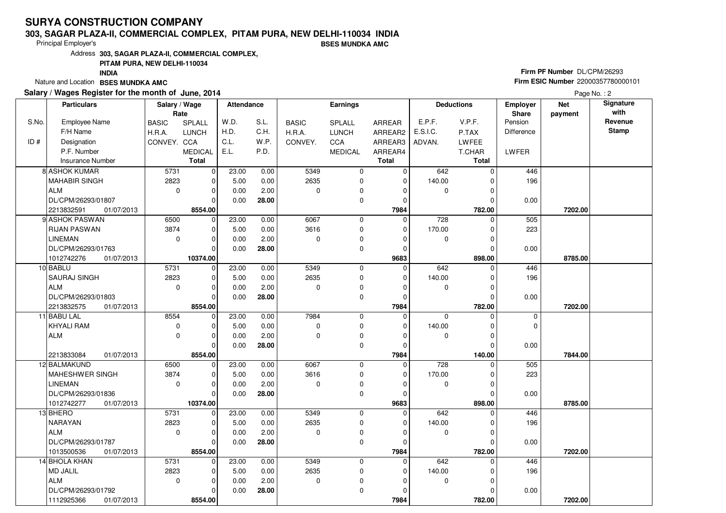### **303, SAGAR PLAZA-II, COMMERCIAL COMPLEX, PITAM PURA, NEW DELHI-110034 INDIABSES MUNDKA AMC**

Principal Employer's

Address**303, SAGAR PLAZA-II, COMMERCIAL COMPLEX,**

### **PITAM PURA, NEW DELHI-110034**

**INDIA**

Nature and Location **BSES MUNDKA AMC** 

### **Salary / Wages Register for the month of June, 2014**

# **Firm PF Number** DL/CPM/26293 **Firm ESIC Number** <sup>22000357780000101</sup>

|       | <b>Particulars</b>        | Salary / Wage<br>Rate |                            | <b>Attendance</b> |              |                  | Earnings       |               |               | <b>Deductions</b> | <b>Employer</b><br>Share | <b>Net</b><br>payment | Signature<br>with |
|-------|---------------------------|-----------------------|----------------------------|-------------------|--------------|------------------|----------------|---------------|---------------|-------------------|--------------------------|-----------------------|-------------------|
| S.No. | <b>Employee Name</b>      | <b>BASIC</b>          | SPLALL                     | W.D.              | S.L.         | <b>BASIC</b>     | SPLALL         | <b>ARREAR</b> | E.P.F.        | V.P.F.            | Pension                  |                       | Revenue           |
|       | F/H Name                  | H.R.A.                | <b>LUNCH</b>               | H.D.              | C.H.         | H.R.A.           | <b>LUNCH</b>   | ARREAR2       | E.S.I.C.      | P.TAX             | Difference               |                       | <b>Stamp</b>      |
| ID#   | Designation               | CONVEY. CCA           |                            | C.L.              | W.P.         | CONVEY.          | CCA            | ARREAR3       | ADVAN.        | LWFEE             |                          |                       |                   |
|       | P.F. Number               |                       | <b>MEDICAL</b>             | E.L.              | P.D.         |                  | <b>MEDICAL</b> | ARREAR4       |               | T.CHAR            | <b>LWFER</b>             |                       |                   |
|       | Insurance Number          |                       | <b>Total</b>               |                   |              |                  |                | <b>Total</b>  |               | <b>Total</b>      |                          |                       |                   |
|       | 8 ASHOK KUMAR             | 5731                  | $\mathbf 0$                | 23.00             | 0.00         | 5349             | $\mathbf 0$    | $\mathbf 0$   | 642           | $\Omega$          | 446                      |                       |                   |
|       | MAHABIR SINGH             | 2823                  | 0                          | 5.00              | 0.00         | 2635             | $\mathbf 0$    | $\Omega$      | 140.00        |                   | 196                      |                       |                   |
|       | ALM                       | $\mathbf 0$           | $\mathbf 0$                | 0.00              | 2.00         | $\Omega$         | $\mathbf 0$    | 0             | 0             | $\Omega$          |                          |                       |                   |
|       | DL/CPM/26293/01807        |                       | $\Omega$                   | 0.00              | 28.00        |                  | $\mathbf 0$    | $\mathbf 0$   |               |                   | 0.00                     |                       |                   |
|       | 2213832591<br>01/07/2013  |                       | 8554.00                    |                   |              |                  |                | 7984          |               | 782.00            |                          | 7202.00               |                   |
|       | 9 ASHOK PASWAN            | 6500                  | $\mathbf 0$                | 23.00             | 0.00         | 6067             | $\mathbf 0$    | $\Omega$      | 728           | $\Omega$          | 505                      |                       |                   |
|       | <b>RIJAN PASWAN</b>       | 3874                  | $\mathbf 0$                | 5.00              | 0.00         | 3616             | $\mathbf 0$    | 0             | 170.00        | 0                 | 223                      |                       |                   |
|       | <b>LINEMAN</b>            | $\mathbf 0$           | $\mathbf 0$                | 0.00              | 2.00         | $\Omega$         | 0              | 0             | 0             | 0                 |                          |                       |                   |
|       | DL/CPM/26293/01763        |                       | $\Omega$                   | 0.00              | 28.00        |                  | $\mathbf 0$    | $\mathbf 0$   |               | $\Omega$          | 0.00                     |                       |                   |
|       | 1012742276<br>01/07/2013  |                       | 10374.00                   |                   |              |                  |                | 9683          |               | 898.00            |                          | 8785.00               |                   |
|       | 10 BABLU                  | 5731                  | $\mathbf 0$                | 23.00             | 0.00         | 5349             | 0              | $\mathbf 0$   | 642           | 0                 | 446                      |                       |                   |
|       | <b>SAURAJ SINGH</b>       | 2823                  | $\mathbf 0$                | 5.00              | 0.00         | 2635             | 0              | $\mathbf 0$   | 140.00        | 0                 | 196                      |                       |                   |
|       | ALM                       | $\mathbf 0$           | $\mathbf 0$                | 0.00              | 2.00         | $\Omega$         | 0              | $\Omega$      | 0             | 0                 |                          |                       |                   |
|       | DL/CPM/26293/01803        |                       | $\Omega$                   | 0.00              | 28.00        |                  | 0              | $\mathbf 0$   |               | $\Omega$          | 0.00                     |                       |                   |
|       | 2213832575<br>01/07/2013  |                       | 8554.00                    |                   |              |                  |                | 7984          |               | 782.00            |                          | 7202.00               |                   |
|       | 11 BABU LAL               | 8554                  | 0                          | 23.00             | 0.00         | 7984             | $\mathbf 0$    | $\Omega$      | $\mathbf 0$   | $\Omega$          | $\mathbf 0$              |                       |                   |
|       | <b>KHYALI RAM</b>         | $\mathbf 0$           | $\mathbf 0$                | 5.00              | 0.00         | $\Omega$         | $\mathbf 0$    | $\mathbf 0$   | 140.00        | $\Omega$          | 0                        |                       |                   |
|       | ALM                       | $\mathbf 0$           | $\mathbf 0$                | 0.00              | 2.00         | $\Omega$         | $\mathbf 0$    | $\Omega$      | 0             | 0                 |                          |                       |                   |
|       |                           |                       | $\Omega$                   | 0.00              | 28.00        |                  | 0              | 0             |               | 0                 | 0.00                     |                       |                   |
|       | 01/07/2013<br>2213833084  |                       | 8554.00                    |                   |              |                  |                | 7984          |               | 140.00            |                          | 7844.00               |                   |
|       | 12 BALMAKUND              | 6500                  | $\mathbf 0$                | 23.00             | 0.00         | 6067             | $\mathbf 0$    | $\mathbf 0$   | 728           | $\Omega$          | 505                      |                       |                   |
|       | MAHESHWER SINGH           | 3874                  | $\mathbf 0$                | 5.00              | 0.00         | 3616             | 0              | 0             | 170.00        | 0                 | 223                      |                       |                   |
|       | <b>LINEMAN</b>            | $\mathbf 0$           | $\mathbf 0$                | 0.00              | 2.00         | $\Omega$         | 0              | 0             | 0             | $\Omega$          |                          |                       |                   |
|       | DL/CPM/26293/01836        |                       | $\Omega$                   | 0.00              | 28.00        |                  | $\mathbf 0$    | 0             |               |                   | 0.00                     |                       |                   |
|       | 1012742277<br>01/07/2013  |                       | 10374.00                   |                   |              |                  |                | 9683          |               | 898.00            |                          | 8785.00               |                   |
|       | 13 BHERO                  | 5731                  | 0                          | 23.00             | 0.00         | 5349             | 0              | 0             | 642           | $\Omega$          | 446                      |                       |                   |
|       | <b>NARAYAN</b>            | 2823                  | $\mathbf 0$                | 5.00              | 0.00         | 2635<br>$\Omega$ | $\mathbf 0$    | 0<br>$\Omega$ | 140.00        |                   | 196                      |                       |                   |
|       | ALM                       | $\mathbf 0$           | $\mathbf 0$<br>$\Omega$    | 0.00              | 2.00         |                  | 0              |               | 0             | $\Omega$          |                          |                       |                   |
|       | DL/CPM/26293/01787        |                       |                            | 0.00              | 28.00        |                  | $\mathbf 0$    | $\mathbf 0$   |               |                   | 0.00                     |                       |                   |
|       | 1013500536<br>01/07/2013  |                       | 8554.00                    |                   |              |                  |                | 7984          |               | 782.00            |                          | 7202.00               |                   |
|       | 14 BHOLA KHAN<br>MD JALIL | 5731<br>2823          | $\mathbf 0$<br>$\mathbf 0$ | 23.00<br>5.00     | 0.00<br>0.00 | 5349<br>2635     | 0<br>0         | 0<br>$\Omega$ | 642<br>140.00 | 0                 | 446<br>196               |                       |                   |
|       | ALM                       | $\mathbf 0$           | $\mathbf 0$                | 0.00              | 2.00         | $\mathbf 0$      | 0              | $\Omega$      | 0             |                   |                          |                       |                   |
|       | DL/CPM/26293/01792        |                       | $\Omega$                   | 0.00              | 28.00        |                  | $\mathbf 0$    | $\Omega$      |               |                   | 0.00                     |                       |                   |
|       | 1112925366<br>01/07/2013  |                       | 8554.00                    |                   |              |                  |                | 7984          |               | 782.00            |                          | 7202.00               |                   |
|       |                           |                       |                            |                   |              |                  |                |               |               |                   |                          |                       |                   |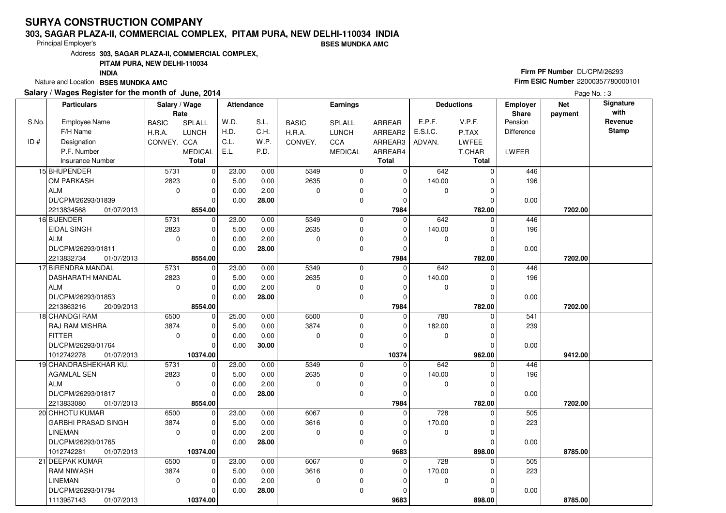### **303, SAGAR PLAZA-II, COMMERCIAL COMPLEX, PITAM PURA, NEW DELHI-110034 INDIABSES MUNDKA AMC**

Principal Employer's

Address**303, SAGAR PLAZA-II, COMMERCIAL COMPLEX,**

### **PITAM PURA, NEW DELHI-110034**

**INDIA**

Nature and Location **BSES MUNDKA AMC** 

### **Salary / Wages Register for the month of June, 2014**

# **Firm PF Number** DL/CPM/26293 **Firm ESIC Number** <sup>22000357780000101</sup>

|       | <b>Particulars</b>       | Salary / Wage<br>Rate |                | <b>Attendance</b> |       |              | Earnings       |              |                  | <b>Deductions</b> | <b>Employer</b><br>Share | <b>Net</b><br>payment | Signature<br>with |
|-------|--------------------------|-----------------------|----------------|-------------------|-------|--------------|----------------|--------------|------------------|-------------------|--------------------------|-----------------------|-------------------|
| S.No. | Employee Name            | <b>BASIC</b>          | <b>SPLALL</b>  | W.D.              | S.L.  | <b>BASIC</b> | SPLALL         | ARREAR       | E.P.F.           | V.P.F.            | Pension                  |                       | Revenue           |
|       | F/H Name                 | H.R.A.                | <b>LUNCH</b>   | H.D.              | C.H.  | H.R.A.       | <b>LUNCH</b>   | ARREAR2      | E.S.I.C.         | P.TAX             | Difference               |                       | <b>Stamp</b>      |
| ID#   | Designation              | CONVEY. CCA           |                | C.L.              | W.P.  | CONVEY.      | CCA            | ARREAR3      | ADVAN.           | <b>LWFEE</b>      |                          |                       |                   |
|       | P.F. Number              |                       | <b>MEDICAL</b> | E.L.              | P.D.  |              | <b>MEDICAL</b> | ARREAR4      |                  | T.CHAR            | LWFER                    |                       |                   |
|       | <b>Insurance Number</b>  |                       | <b>Total</b>   |                   |       |              |                | <b>Total</b> |                  | Total             |                          |                       |                   |
|       | 15 BHUPENDER             | 5731                  | $\mathbf 0$    | 23.00             | 0.00  | 5349         | 0              | $\Omega$     | 642              | $\Omega$          | 446                      |                       |                   |
|       | OM PARKASH               | 2823                  | $\mathbf 0$    | 5.00              | 0.00  | 2635         | 0              | $\mathbf 0$  | 140.00           | 0                 | 196                      |                       |                   |
|       | <b>ALM</b>               | $\mathbf 0$           | $\mathbf 0$    | 0.00              | 2.00  | $\mathbf 0$  | 0              | $\Omega$     | $\mathbf 0$      | $\Omega$          |                          |                       |                   |
|       | DL/CPM/26293/01839       |                       | $\Omega$       | 0.00              | 28.00 |              | 0              | $\mathbf 0$  |                  | $\Omega$          | 0.00                     |                       |                   |
|       | 2213834568<br>01/07/2013 |                       | 8554.00        |                   |       |              |                | 7984         |                  | 782.00            |                          | 7202.00               |                   |
|       | 16 BIJENDER              | 5731                  | $\overline{0}$ | 23.00             | 0.00  | 5349         | 0              | $\mathbf 0$  | 642              | $\Omega$          | 446                      |                       |                   |
|       | <b>EIDAL SINGH</b>       | 2823                  | $\mathbf 0$    | 5.00              | 0.00  | 2635         | $\mathbf 0$    | $\mathbf 0$  | 140.00           | O                 | 196                      |                       |                   |
|       | <b>ALM</b>               | $\mathbf 0$           | $\mathbf 0$    | 0.00              | 2.00  | $\mathbf 0$  | 0              | $\Omega$     | $\mathbf 0$      | O                 |                          |                       |                   |
|       | DL/CPM/26293/01811       |                       | $\overline{0}$ | 0.00              | 28.00 |              | 0              | $\mathbf 0$  |                  | O                 | 0.00                     |                       |                   |
|       | 2213832734<br>01/07/2013 |                       | 8554.00        |                   |       |              |                | 7984         |                  | 782.00            |                          | 7202.00               |                   |
|       | 17 BIRENDRA MANDAL       | 5731                  | $\overline{0}$ | 23.00             | 0.00  | 5349         | $\mathbf 0$    | $\mathbf 0$  | 642              | $\Omega$          | 446                      |                       |                   |
|       | <b>DASHARATH MANDAL</b>  | 2823                  | $\mathbf 0$    | 5.00              | 0.00  | 2635         | 0              | $\mathbf 0$  | 140.00           | C                 | 196                      |                       |                   |
|       | ALM                      | $\Omega$              | $\mathbf 0$    | 0.00              | 2.00  | $\Omega$     | 0              | $\Omega$     | $\mathbf 0$      | $\Omega$          |                          |                       |                   |
|       | DL/CPM/26293/01853       |                       | $\mathbf 0$    | 0.00              | 28.00 |              | 0              | $\mathbf 0$  |                  | $\mathcal{C}$     | 0.00                     |                       |                   |
|       | 2213863216<br>20/09/2013 |                       | 8554.00        |                   |       |              |                | 7984         |                  | 782.00            |                          | 7202.00               |                   |
|       | 18 CHANDGI RAM           | 6500                  | 0              | 25.00             | 0.00  | 6500         | $\mathbf 0$    | $\mathbf 0$  | 780              | $\Omega$          | 541                      |                       |                   |
|       | <b>RAJ RAM MISHRA</b>    | 3874                  | $\mathbf 0$    | 5.00              | 0.00  | 3874         | 0              | $\Omega$     | 182.00           |                   | 239                      |                       |                   |
|       | <b>FITTER</b>            | $\Omega$              | $\Omega$       | 0.00              | 0.00  | $\Omega$     | 0              | $\Omega$     | $\mathbf 0$      | $\Omega$          |                          |                       |                   |
|       | DL/CPM/26293/01764       |                       | $\Omega$       | 0.00              | 30.00 |              | $\mathbf 0$    | $\Omega$     |                  | $\mathcal{C}$     | 0.00                     |                       |                   |
|       | 1012742278<br>01/07/2013 |                       | 10374.00       |                   |       |              |                | 10374        |                  | 962.00            |                          | 9412.00               |                   |
|       | 19 CHANDRASHEKHAR KU.    | 5731                  | $\mathbf 0$    | 23.00             | 0.00  | 5349         | 0              | $\mathbf 0$  | 642              |                   | 446                      |                       |                   |
|       | <b>AGAMLAL SEN</b>       | 2823                  | $\mathbf 0$    | 5.00              | 0.00  | 2635         | 0              | $\Omega$     | 140.00           |                   | 196                      |                       |                   |
|       | <b>ALM</b>               | $\mathbf 0$           | $\mathbf 0$    | 0.00              | 2.00  | $\mathbf 0$  | 0              | $\Omega$     | $\mathbf 0$      | $\Omega$          |                          |                       |                   |
|       | DL/CPM/26293/01817       |                       | $\mathbf 0$    | 0.00              | 28.00 |              | 0              | $\Omega$     |                  | $\sqrt{ }$        | 0.00                     |                       |                   |
|       | 2213833080<br>01/07/2013 |                       | 8554.00        |                   |       |              |                | 7984         |                  | 782.00            |                          | 7202.00               |                   |
|       | 20 CHHOTU KUMAR          | 6500                  | $\mathbf 0$    | 23.00             | 0.00  | 6067         | $\mathbf 0$    | $\mathbf 0$  | $\overline{728}$ | $\mathcal{C}$     | 505                      |                       |                   |
|       | GARBHI PRASAD SINGH      | 3874                  | $\mathbf 0$    | 5.00              | 0.00  | 3616         | $\mathbf 0$    | $\mathbf 0$  | 170.00           | $\Omega$          | 223                      |                       |                   |
|       | <b>LINEMAN</b>           | $\mathbf 0$           | $\mathbf 0$    | 0.00              | 2.00  | $\mathbf 0$  | 0              | $\Omega$     | 0                | C                 |                          |                       |                   |
|       | DL/CPM/26293/01765       |                       | $\Omega$       | 0.00              | 28.00 |              | $\mathbf 0$    | $\Omega$     |                  | $\Omega$          | 0.00                     |                       |                   |
|       | 1012742281<br>01/07/2013 |                       | 10374.00       |                   |       |              |                | 9683         |                  | 898.00            |                          | 8785.00               |                   |
|       | 21 DEEPAK KUMAR          | 6500                  | $\mathbf 0$    | 23.00             | 0.00  | 6067         | $\mathbf 0$    | $\mathbf 0$  | 728              |                   | 505                      |                       |                   |
|       | <b>RAM NIWASH</b>        | 3874                  | $\mathbf 0$    | 5.00              | 0.00  | 3616         | 0              | $\mathbf 0$  | 170.00           |                   | 223                      |                       |                   |
|       | <b>LINEMAN</b>           | $\mathbf 0$           | $\mathbf 0$    | 0.00              | 2.00  | $\mathbf 0$  | 0              | $\Omega$     | $\mathbf 0$      | $\Omega$          |                          |                       |                   |
|       | DL/CPM/26293/01794       |                       | $\mathbf 0$    | 0.00              | 28.00 |              | 0              | $\mathbf 0$  |                  | 0                 | 0.00                     |                       |                   |
|       | 1113957143<br>01/07/2013 |                       | 10374.00       |                   |       |              |                | 9683         |                  | 898.00            |                          | 8785.00               |                   |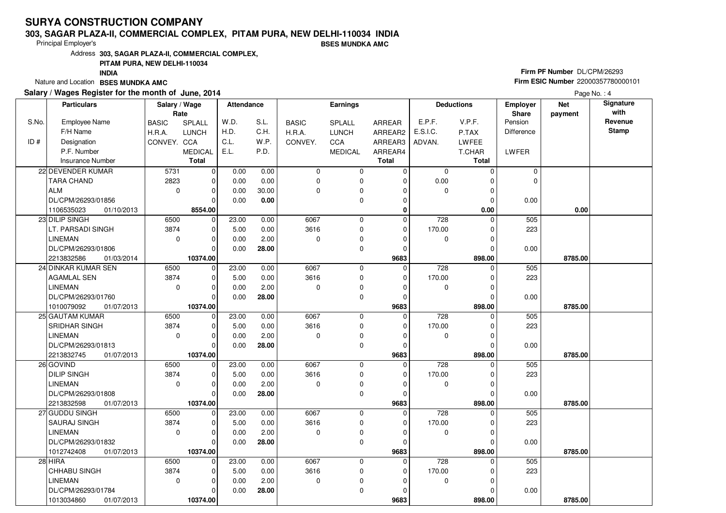### **303, SAGAR PLAZA-II, COMMERCIAL COMPLEX, PITAM PURA, NEW DELHI-110034 INDIABSES MUNDKA AMC**

Principal Employer's

Address**303, SAGAR PLAZA-II, COMMERCIAL COMPLEX,**

**PITAM PURA, NEW DELHI-110034**

**INDIA**

Nature and Location **BSES MUNDKA AMC** 

### **Salary / Wages Register for the month of June, 2014**

# **Firm PF Number** DL/CPM/26293 **Firm ESIC Number** <sup>22000357780000101</sup>

|       | <b>Particulars</b>       | Salary / Wage<br>Rate |                | Attendance |       |              | Earnings       |                |             | <b>Deductions</b> | <b>Employer</b><br>Share | <b>Net</b><br>payment | Signature<br>with |
|-------|--------------------------|-----------------------|----------------|------------|-------|--------------|----------------|----------------|-------------|-------------------|--------------------------|-----------------------|-------------------|
| S.No. | Employee Name            | <b>BASIC</b>          | SPLALL         | W.D.       | S.L.  | <b>BASIC</b> | SPLALL         | ARREAR         | E.P.F.      | V.P.F.            | Pension                  |                       | Revenue           |
|       | F/H Name                 | H.R.A.                | <b>LUNCH</b>   | H.D.       | C.H.  | H.R.A.       | <b>LUNCH</b>   | ARREAR2        | E.S.I.C.    | P.TAX             | Difference               |                       | <b>Stamp</b>      |
| ID#   | Designation              | CONVEY. CCA           |                | C.L.       | W.P.  | CONVEY.      | CCA            | ARREAR3        | ADVAN.      | <b>LWFEE</b>      |                          |                       |                   |
|       | P.F. Number              |                       | <b>MEDICAL</b> | E.L.       | P.D.  |              | <b>MEDICAL</b> | ARREAR4        |             | T.CHAR            | LWFER                    |                       |                   |
|       | <b>Insurance Number</b>  |                       | <b>Total</b>   |            |       |              |                | <b>Total</b>   |             | <b>Total</b>      |                          |                       |                   |
|       | 22 DEVENDER KUMAR        | 5731                  | $\overline{0}$ | 0.00       | 0.00  | $\mathbf 0$  | 0              | 0              | 0           | $\Omega$          | 0                        |                       |                   |
|       | <b>TARA CHAND</b>        | 2823                  | $\mathbf 0$    | 0.00       | 0.00  | $\mathbf 0$  | 0              | 0              | 0.00        | $\Omega$          | $\Omega$                 |                       |                   |
|       | ALM                      | $\mathbf 0$           | $\mathbf 0$    | 0.00       | 30.00 | $\mathbf 0$  | 0              | 0              | $\mathbf 0$ | $\Omega$          |                          |                       |                   |
|       | DL/CPM/26293/01856       |                       | $\Omega$       | 0.00       | 0.00  |              | 0              | $\Omega$       |             | $\Omega$          | 0.00                     |                       |                   |
|       | 1106535023<br>01/10/2013 |                       | 8554.00        |            |       |              |                | 0              |             | 0.00              |                          | 0.00                  |                   |
|       | 23 DILIP SINGH           | 6500                  | $\overline{0}$ | 23.00      | 0.00  | 6067         | 0              | $\overline{0}$ | 728         | $\Omega$          | 505                      |                       |                   |
|       | LT. PARSADI SINGH        | 3874                  | 0              | 5.00       | 0.00  | 3616         | 0              | $\Omega$       | 170.00      | $\Omega$          | 223                      |                       |                   |
|       | LINEMAN                  | $\mathbf 0$           | $\Omega$       | 0.00       | 2.00  | $\mathbf 0$  | 0              | $\Omega$       | 0           | 0                 |                          |                       |                   |
|       | DL/CPM/26293/01806       |                       | $\Omega$       | 0.00       | 28.00 |              | 0              | $\Omega$       |             | 0                 | 0.00                     |                       |                   |
|       | 2213832586<br>01/03/2014 |                       | 10374.00       |            |       |              |                | 9683           |             | 898.00            |                          | 8785.00               |                   |
|       | 24 DINKAR KUMAR SEN      | 6500                  | $\overline{0}$ | 23.00      | 0.00  | 6067         | 0              | $\mathbf 0$    | 728         | $\Omega$          | 505                      |                       |                   |
|       | <b>AGAMLAL SEN</b>       | 3874                  | $\mathbf 0$    | 5.00       | 0.00  | 3616         | 0              | 0              | 170.00      | $\Omega$          | 223                      |                       |                   |
|       | <b>LINEMAN</b>           | $\Omega$              | $\Omega$       | 0.00       | 2.00  | $\Omega$     | 0              | $\Omega$       | $\mathbf 0$ | $\Omega$          |                          |                       |                   |
|       | DL/CPM/26293/01760       |                       | $\Omega$       | 0.00       | 28.00 |              | 0              | $\Omega$       |             | O                 | 0.00                     |                       |                   |
|       | 1010079092<br>01/07/2013 |                       | 10374.00       |            |       |              |                | 9683           |             | 898.00            |                          | 8785.00               |                   |
|       | 25 GAUTAM KUMAR          | 6500                  | $\pmb{0}$      | 23.00      | 0.00  | 6067         | 0              | $\Omega$       | 728         | U                 | 505                      |                       |                   |
|       | <b>SRIDHAR SINGH</b>     | 3874                  | $\Omega$       | 5.00       | 0.00  | 3616         | 0              | $\Omega$       | 170.00      | 0                 | 223                      |                       |                   |
|       | <b>LINEMAN</b>           | $\Omega$              | $\Omega$       | 0.00       | 2.00  | $\Omega$     | 0              | $\Omega$       | $\mathbf 0$ | $\Omega$          |                          |                       |                   |
|       | DL/CPM/26293/01813       |                       | $\Omega$       | 0.00       | 28.00 |              | 0              | $\Omega$       |             | 0                 | 0.00                     |                       |                   |
|       | 2213832745<br>01/07/2013 |                       | 10374.00       |            |       |              |                | 9683           |             | 898.00            |                          | 8785.00               |                   |
|       | 26 GOVIND                | 6500                  | $\mathbf 0$    | 23.00      | 0.00  | 6067         | 0              | $\mathbf 0$    | 728         | 0                 | 505                      |                       |                   |
|       | <b>DILIP SINGH</b>       | 3874                  | $\Omega$       | 5.00       | 0.00  | 3616         | 0              | $\Omega$       | 170.00      | $\Omega$          | 223                      |                       |                   |
|       | <b>LINEMAN</b>           | $\mathbf 0$           | $\mathbf 0$    | 0.00       | 2.00  | $\mathbf 0$  | 0              | 0              | 0           | $\Omega$          |                          |                       |                   |
|       | DL/CPM/26293/01808       |                       | $\Omega$       | 0.00       | 28.00 |              | 0              | $\Omega$       |             | O                 | 0.00                     |                       |                   |
|       | 2213832598<br>01/07/2013 |                       | 10374.00       |            |       |              |                | 9683           |             | 898.00            |                          | 8785.00               |                   |
|       | 27 GUDDU SINGH           | 6500                  | $\mathbf 0$    | 23.00      | 0.00  | 6067         | 0              | $\overline{0}$ | 728         | $\Omega$          | 505                      |                       |                   |
|       | <b>SAURAJ SINGH</b>      | 3874                  | $\Omega$       | 5.00       | 0.00  | 3616         | 0              | $\Omega$       | 170.00      | $\Omega$          | 223                      |                       |                   |
|       | <b>LINEMAN</b>           | $\Omega$              | $\mathbf 0$    | 0.00       | 2.00  | $\Omega$     | 0              | $\Omega$       | 0           | 0                 |                          |                       |                   |
|       | DL/CPM/26293/01832       |                       | $\Omega$       | 0.00       | 28.00 |              | 0              | $\Omega$       |             | 0                 | 0.00                     |                       |                   |
|       | 1012742408<br>01/07/2013 |                       | 10374.00       |            |       |              |                | 9683           |             | 898.00            |                          | 8785.00               |                   |
|       | $28$ HIRA                | 6500                  | $\Omega$       | 23.00      | 0.00  | 6067         | 0              | $\overline{0}$ | 728         | U                 | 505                      |                       |                   |
|       | <b>CHHABU SINGH</b>      | 3874                  | $\Omega$       | 5.00       | 0.00  | 3616         | 0              | $\Omega$       | 170.00      | 0                 | 223                      |                       |                   |
|       | <b>LINEMAN</b>           | $\mathbf 0$           | $\mathbf 0$    | 0.00       | 2.00  | $\mathbf 0$  | 0              | $\Omega$       | $\mathbf 0$ | $\Omega$          |                          |                       |                   |
|       | DL/CPM/26293/01784       |                       | $\Omega$       | 0.00       | 28.00 |              | 0              | ŋ              |             | $\Omega$          | 0.00                     |                       |                   |
|       | 1013034860<br>01/07/2013 |                       | 10374.00       |            |       |              |                | 9683           |             | 898.00            |                          | 8785.00               |                   |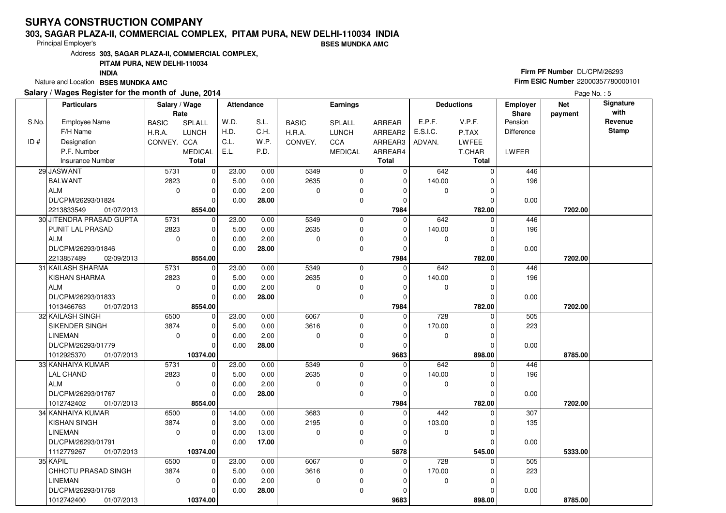### **303, SAGAR PLAZA-II, COMMERCIAL COMPLEX, PITAM PURA, NEW DELHI-110034 INDIABSES MUNDKA AMC**

Principal Employer's

Address**303, SAGAR PLAZA-II, COMMERCIAL COMPLEX,**

### **PITAM PURA, NEW DELHI-110034**

**INDIA**

Nature and Location **BSES MUNDKA AMC** 

### **Salary / Wages Register for the month of June, 2014**

# **Firm PF Number** DL/CPM/26293 **Firm ESIC Number** <sup>22000357780000101</sup>

|       | <b>Particulars</b>       | Salary / Wage<br>Rate |                | <b>Attendance</b> |       |              | Earnings       |              |          | <b>Deductions</b> | <b>Employer</b><br>Share | <b>Net</b><br>payment | Signature<br>with |
|-------|--------------------------|-----------------------|----------------|-------------------|-------|--------------|----------------|--------------|----------|-------------------|--------------------------|-----------------------|-------------------|
| S.No. | <b>Employee Name</b>     | <b>BASIC</b>          | SPLALL         | W.D.              | S.L.  | <b>BASIC</b> | SPLALL         | ARREAR       | E.P.F.   | V.P.F.            | Pension                  |                       | Revenue           |
|       | F/H Name                 | H.R.A.                | <b>LUNCH</b>   | H.D.              | C.H.  | H.R.A.       | <b>LUNCH</b>   | ARREAR2      | E.S.I.C. | P.TAX             | <b>Difference</b>        |                       | <b>Stamp</b>      |
| ID#   | Designation              | CONVEY. CCA           |                | C.L.              | W.P.  | CONVEY.      | CCA            | ARREAR3      | ADVAN.   | LWFEE             |                          |                       |                   |
|       | P.F. Number              |                       | <b>MEDICAL</b> | E.L.              | P.D.  |              | <b>MEDICAL</b> | ARREAR4      |          | T.CHAR            | LWFER                    |                       |                   |
|       | <b>Insurance Number</b>  |                       | <b>Total</b>   |                   |       |              |                | <b>Total</b> |          | <b>Total</b>      |                          |                       |                   |
|       | 29 JASWANT               | 5731                  | $\mathbf 0$    | 23.00             | 0.00  | 5349         | 0              | $\mathbf 0$  | 642      | $\Omega$          | 446                      |                       |                   |
|       | BALWANT                  | 2823                  | $\mathbf 0$    | 5.00              | 0.00  | 2635         | $\mathbf 0$    | $\Omega$     | 140.00   | O                 | 196                      |                       |                   |
|       | ALM                      | $\mathbf 0$           | $\mathbf 0$    | 0.00              | 2.00  | $\Omega$     | 0              | $\Omega$     | 0        |                   |                          |                       |                   |
|       | DL/CPM/26293/01824       |                       | $\Omega$       | 0.00              | 28.00 |              | $\mathbf 0$    | $\Omega$     |          |                   | 0.00                     |                       |                   |
|       | 2213833549<br>01/07/2013 |                       | 8554.00        |                   |       |              |                | 7984         |          | 782.00            |                          | 7202.00               |                   |
|       | 30 JITENDRA PRASAD GUPTA | 5731                  | $\mathbf 0$    | 23.00             | 0.00  | 5349         | $\mathbf 0$    | $\Omega$     | 642      | $\Omega$          | 446                      |                       |                   |
|       | PUNIT LAL PRASAD         | 2823                  | $\mathbf 0$    | 5.00              | 0.00  | 2635         | $\mathbf 0$    | 0            | 140.00   | 0                 | 196                      |                       |                   |
|       | ALM                      | $\mathbf 0$           | $\Omega$       | 0.00              | 2.00  | $\Omega$     | 0              | $\Omega$     | 0        | O                 |                          |                       |                   |
|       | DL/CPM/26293/01846       |                       | $\Omega$       | 0.00              | 28.00 |              | 0              | 0            |          | 0                 | 0.00                     |                       |                   |
|       | 02/09/2013<br>2213857489 |                       | 8554.00        |                   |       |              |                | 7984         |          | 782.00            |                          | 7202.00               |                   |
|       | 31 KAILASH SHARMA        | 5731                  | $\mathbf 0$    | 23.00             | 0.00  | 5349         | 0              | $\mathbf 0$  | 642      | $\Omega$          | 446                      |                       |                   |
|       | <b>KISHAN SHARMA</b>     | 2823                  | $\mathbf 0$    | 5.00              | 0.00  | 2635         | $\mathbf 0$    | $\mathbf 0$  | 140.00   |                   | 196                      |                       |                   |
|       | ALM                      | $\mathbf 0$           | $\mathbf 0$    | 0.00              | 2.00  | $\Omega$     | 0              | $\Omega$     | 0        | $\Omega$          |                          |                       |                   |
|       | DL/CPM/26293/01833       |                       | $\Omega$       | 0.00              | 28.00 |              | $\mathbf 0$    | $\Omega$     |          |                   | 0.00                     |                       |                   |
|       | 1013466763<br>01/07/2013 |                       | 8554.00        |                   |       |              |                | 7984         |          | 782.00            |                          | 7202.00               |                   |
|       | 32 KAILASH SINGH         | 6500                  | $\mathbf 0$    | 23.00             | 0.00  | 6067         | 0              | $\mathbf 0$  | 728      | $\Omega$          | 505                      |                       |                   |
|       | SIKENDER SINGH           | 3874                  | $\Omega$       | 5.00              | 0.00  | 3616         | 0              | $\Omega$     | 170.00   |                   | 223                      |                       |                   |
|       | <b>LINEMAN</b>           | $\Omega$              | $\Omega$       | 0.00              | 2.00  | $\Omega$     | 0              | $\Omega$     | 0        | U                 |                          |                       |                   |
|       | DL/CPM/26293/01779       |                       | $\Omega$       | 0.00              | 28.00 |              | $\Omega$       | $\Omega$     |          |                   | 0.00                     |                       |                   |
|       | 1012925370<br>01/07/2013 |                       | 10374.00       |                   |       |              |                | 9683         |          | 898.00            |                          | 8785.00               |                   |
|       | 33 KANHAIYA KUMAR        | 5731                  | $\mathbf 0$    | 23.00             | 0.00  | 5349         | $\mathbf 0$    | $\mathbf 0$  | 642      | O                 | 446                      |                       |                   |
|       | <b>LAL CHAND</b>         | 2823                  | $\mathbf 0$    | 5.00              | 0.00  | 2635         | $\mathbf 0$    | 0            | 140.00   |                   | 196                      |                       |                   |
|       | ALM                      | $\Omega$              | $\mathbf 0$    | 0.00              | 2.00  | $\Omega$     | $\mathbf 0$    | $\Omega$     | 0        | $\Omega$          |                          |                       |                   |
|       | DL/CPM/26293/01767       |                       | $\mathbf 0$    | 0.00              | 28.00 |              | 0              | 0            |          |                   | 0.00                     |                       |                   |
|       | 1012742402<br>01/07/2013 |                       | 8554.00        |                   |       |              |                | 7984         |          | 782.00            |                          | 7202.00               |                   |
|       | 34 KANHAIYA KUMAR        | 6500                  | $\mathbf 0$    | 14.00             | 0.00  | 3683         | $\mathbf 0$    | $\Omega$     | 442      | $\Omega$          | 307                      |                       |                   |
|       | <b>KISHAN SINGH</b>      | 3874                  | $\Omega$       | 3.00              | 0.00  | 2195         | $\mathbf 0$    | $\Omega$     | 103.00   | U                 | 135                      |                       |                   |
|       | <b>LINEMAN</b>           | $\mathbf 0$           | $\mathbf 0$    | 0.00              | 13.00 | $\Omega$     | 0              | $\Omega$     | 0        |                   |                          |                       |                   |
|       | DL/CPM/26293/01791       |                       | $\Omega$       | 0.00              | 17.00 |              | $\mathbf 0$    | $\Omega$     |          |                   | 0.00                     |                       |                   |
|       | 1112779267<br>01/07/2013 |                       | 10374.00       |                   |       |              |                | 5878         |          | 545.00            |                          | 5333.00               |                   |
|       | 35 KAPIL                 | 6500                  | $\mathbf 0$    | 23.00             | 0.00  | 6067         | $\mathbf 0$    | $\Omega$     | 728      |                   | 505                      |                       |                   |
|       | CHHOTU PRASAD SINGH      | 3874                  | $\Omega$       | 5.00              | 0.00  | 3616         | $\mathbf 0$    | $\Omega$     | 170.00   |                   | 223                      |                       |                   |
|       | <b>LINEMAN</b>           | $\mathbf 0$           | $\mathbf 0$    | 0.00              | 2.00  | $\mathbf 0$  | 0              | $\Omega$     | 0        | O                 |                          |                       |                   |
|       | DL/CPM/26293/01768       |                       | 0              | 0.00              | 28.00 |              | 0              | $\Omega$     |          |                   | 0.00                     |                       |                   |
|       | 1012742400<br>01/07/2013 |                       | 10374.00       |                   |       |              |                | 9683         |          | 898.00            |                          | 8785.00               |                   |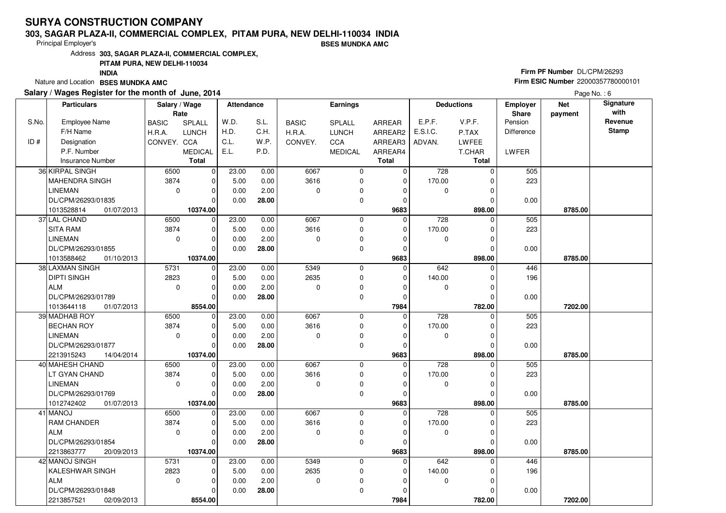### **303, SAGAR PLAZA-II, COMMERCIAL COMPLEX, PITAM PURA, NEW DELHI-110034 INDIABSES MUNDKA AMC**

Principal Employer's

Address**303, SAGAR PLAZA-II, COMMERCIAL COMPLEX,**

**PITAM PURA, NEW DELHI-110034**

**INDIA**

Nature and Location **BSES MUNDKA AMC** 

### **Salary / Wages Register for the month of June, 2014**

# **Firm PF Number** DL/CPM/26293 **Firm ESIC Number** <sup>22000357780000101</sup>

|       | <b>Particulars</b>       | Salary / Wage<br>Rate |                | Attendance |       |              | <b>Earnings</b> |               |          | <b>Deductions</b> | Employer<br>Share | <b>Net</b><br>payment | Signature<br>with |
|-------|--------------------------|-----------------------|----------------|------------|-------|--------------|-----------------|---------------|----------|-------------------|-------------------|-----------------------|-------------------|
| S.No. | <b>Employee Name</b>     | <b>BASIC</b>          | SPLALL         | W.D.       | S.L.  | <b>BASIC</b> | <b>SPLALL</b>   | <b>ARREAR</b> | E.P.F.   | V.P.F.            | Pension           |                       | Revenue           |
|       | F/H Name                 | H.R.A.                | <b>LUNCH</b>   | H.D.       | C.H.  | H.R.A.       | <b>LUNCH</b>    | ARREAR2       | E.S.I.C. | P.TAX             | <b>Difference</b> |                       | <b>Stamp</b>      |
| ID#   | Designation              | CONVEY. CCA           |                | C.L.       | W.P.  | CONVEY.      | CCA             | ARREAR3       | ADVAN.   | <b>LWFEE</b>      |                   |                       |                   |
|       | P.F. Number              |                       | <b>MEDICAL</b> | E.L.       | P.D.  |              | <b>MEDICAL</b>  | ARREAR4       |          | T.CHAR            | LWFER             |                       |                   |
|       | <b>Insurance Number</b>  |                       | <b>Total</b>   |            |       |              |                 | <b>Total</b>  |          | <b>Total</b>      |                   |                       |                   |
|       | 36 KIRPAL SINGH          | 6500                  | $\mathbf 0$    | 23.00      | 0.00  | 6067         | 0               | 0             | 728      | $\Omega$          | 505               |                       |                   |
|       | <b>MAHENDRA SINGH</b>    | 3874                  | $\mathbf 0$    | 5.00       | 0.00  | 3616         | 0               | $\mathbf 0$   | 170.00   | $\Omega$          | 223               |                       |                   |
|       | <b>LINEMAN</b>           | $\mathbf 0$           | $\mathbf 0$    | 0.00       | 2.00  | $\Omega$     | 0               | $\Omega$      | 0        | U                 |                   |                       |                   |
|       | DL/CPM/26293/01835       |                       | $\Omega$       | 0.00       | 28.00 |              | 0               | 0             |          | O                 | 0.00              |                       |                   |
|       | 1013528814<br>01/07/2013 |                       | 10374.00       |            |       |              |                 | 9683          |          | 898.00            |                   | 8785.00               |                   |
|       | 37 LAL CHAND             | 6500                  | $\mathbf 0$    | 23.00      | 0.00  | 6067         | $\mathbf 0$     | $\Omega$      | 728      | $\Omega$          | 505               |                       |                   |
|       | <b>SITA RAM</b>          | 3874                  | 0              | 5.00       | 0.00  | 3616         | 0               | 0             | 170.00   | $\Omega$          | 223               |                       |                   |
|       | <b>LINEMAN</b>           | $\mathbf 0$           | $\mathbf 0$    | 0.00       | 2.00  | $\Omega$     | 0               | $\Omega$      | 0        | 0                 |                   |                       |                   |
|       | DL/CPM/26293/01855       |                       | $\Omega$       | 0.00       | 28.00 |              | $\mathbf 0$     | $\mathbf 0$   |          | $\Omega$          | 0.00              |                       |                   |
|       | 1013588462<br>01/10/2013 |                       | 10374.00       |            |       |              |                 | 9683          |          | 898.00            |                   | 8785.00               |                   |
|       | 38 LAXMAN SINGH          | 5731                  | $\mathbf 0$    | 23.00      | 0.00  | 5349         | 0               | $\mathbf 0$   | 642      | $\Omega$          | 446               |                       |                   |
|       | <b>DIPTI SINGH</b>       | 2823                  | $\mathbf 0$    | 5.00       | 0.00  | 2635         | $\mathbf 0$     | $\mathbf 0$   | 140.00   | 0                 | 196               |                       |                   |
|       | l ALM                    | $\mathbf 0$           | $\Omega$       | 0.00       | 2.00  | $\Omega$     | 0               | $\Omega$      | 0        | $\Omega$          |                   |                       |                   |
|       | DL/CPM/26293/01789       |                       | $\Omega$       | 0.00       | 28.00 |              | 0               | $\mathbf 0$   |          | 0                 | 0.00              |                       |                   |
|       | 01/07/2013<br>1013644118 |                       | 8554.00        |            |       |              |                 | 7984          |          | 782.00            |                   | 7202.00               |                   |
|       | 39 MADHAB ROY            | 6500                  | $\overline{0}$ | 23.00      | 0.00  | 6067         | $\mathbf 0$     | $\Omega$      | 728      | $\Omega$          | 505               |                       |                   |
|       | <b>BECHAN ROY</b>        | 3874                  | $\mathbf 0$    | 5.00       | 0.00  | 3616         | $\mathbf 0$     | 0             | 170.00   |                   | 223               |                       |                   |
|       | <b>LINEMAN</b>           | $\mathbf 0$           | $\mathbf 0$    | 0.00       | 2.00  | $\Omega$     | 0               | $\Omega$      | 0        |                   |                   |                       |                   |
|       | DL/CPM/26293/01877       |                       | $\Omega$       | 0.00       | 28.00 |              | $\mathbf 0$     | $\Omega$      |          | $\Omega$          | 0.00              |                       |                   |
|       | 2213915243<br>14/04/2014 |                       | 10374.00       |            |       |              |                 | 9683          |          | 898.00            |                   | 8785.00               |                   |
|       | 40 MAHESH CHAND          | 6500                  | $\mathbf 0$    | 23.00      | 0.00  | 6067         | 0               | $\mathbf 0$   | 728      | $\Omega$          | 505               |                       |                   |
|       | LT GYAN CHAND            | 3874                  | $\mathbf 0$    | 5.00       | 0.00  | 3616         | $\mathbf 0$     | $\mathbf 0$   | 170.00   |                   | 223               |                       |                   |
|       | <b>LINEMAN</b>           | $\mathbf 0$           | $\mathbf 0$    | 0.00       | 2.00  | $\Omega$     | 0               | 0             | 0        | O                 |                   |                       |                   |
|       | DL/CPM/26293/01769       |                       | $\Omega$       | 0.00       | 28.00 |              | $\mathbf 0$     | $\mathbf 0$   |          |                   | 0.00              |                       |                   |
|       | 1012742402<br>01/07/2013 |                       | 10374.00       |            |       |              |                 | 9683          |          | 898.00            |                   | 8785.00               |                   |
|       | 41 MANOJ                 | 6500                  | $\mathbf 0$    | 23.00      | 0.00  | 6067         | $\mathbf 0$     | $\Omega$      | 728      | 0                 | 505               |                       |                   |
|       | <b>RAM CHANDER</b>       | 3874                  | $\mathbf 0$    | 5.00       | 0.00  | 3616         | 0               | 0             | 170.00   |                   | 223               |                       |                   |
|       | ALM                      | $\Omega$              | $\Omega$       | 0.00       | 2.00  | $\Omega$     | $\mathbf 0$     | $\Omega$      | 0        | $\Omega$          |                   |                       |                   |
|       | DL/CPM/26293/01854       |                       | $\Omega$       | 0.00       | 28.00 |              | $\Omega$        | $\Omega$      |          |                   | 0.00              |                       |                   |
|       | 2213863777<br>20/09/2013 |                       | 10374.00       |            |       |              |                 | 9683          |          | 898.00            |                   | 8785.00               |                   |
|       | 42 MANOJ SINGH           | 5731                  | $\mathbf 0$    | 23.00      | 0.00  | 5349         | 0               | $\mathbf 0$   | 642      | $\Omega$          | 446               |                       |                   |
|       | <b>KALESHWAR SINGH</b>   | 2823                  | $\Omega$       | 5.00       | 0.00  | 2635         | 0               | $\Omega$      | 140.00   |                   | 196               |                       |                   |
|       | ALM                      | $\mathbf 0$           | $\Omega$       | 0.00       | 2.00  | $\mathbf 0$  | 0               | $\Omega$      | 0        | 0                 |                   |                       |                   |
|       | DL/CPM/26293/01848       |                       | $\Omega$       | 0.00       | 28.00 |              | $\mathbf 0$     | $\Omega$      |          |                   | 0.00              |                       |                   |
|       | 2213857521<br>02/09/2013 |                       | 8554.00        |            |       |              |                 | 7984          |          | 782.00            |                   | 7202.00               |                   |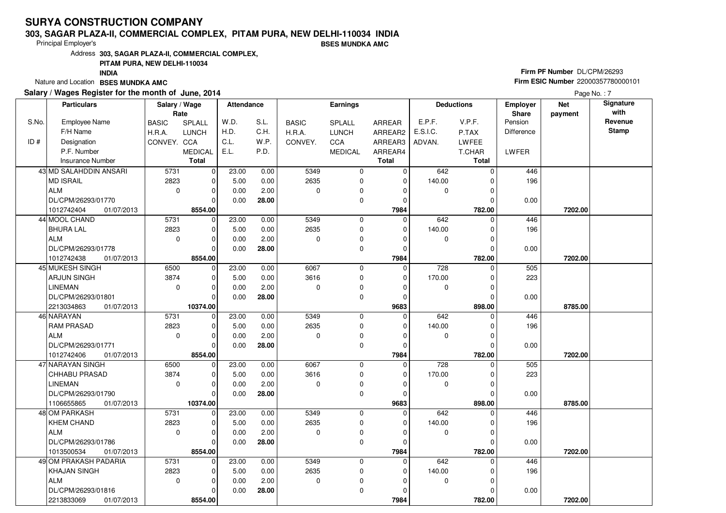### **303, SAGAR PLAZA-II, COMMERCIAL COMPLEX, PITAM PURA, NEW DELHI-110034 INDIA**

Principal Employer's

**BSES MUNDKA AMC**

Address**303, SAGAR PLAZA-II, COMMERCIAL COMPLEX,**

### **PITAM PURA, NEW DELHI-110034**

**INDIA**

Nature and Location **BSES MUNDKA AMC** 

### **Salary / Wages Register for the month of June, 2014**

# **Firm PF Number** DL/CPM/26293 **Firm ESIC Number** <sup>22000357780000101</sup>

|       | <b>Particulars</b>         | Salary / Wage<br>Rate |                         | Attendance |       |              | Earnings       |                  |             | <b>Deductions</b> | Employer<br>Share | <b>Net</b><br>payment | Signature<br>with |
|-------|----------------------------|-----------------------|-------------------------|------------|-------|--------------|----------------|------------------|-------------|-------------------|-------------------|-----------------------|-------------------|
| S.No. | <b>Employee Name</b>       | <b>BASIC</b>          | SPLALL                  | W.D.       | S.L.  | <b>BASIC</b> | <b>SPLALL</b>  | <b>ARREAR</b>    | E.P.F.      | V.P.F.            | Pension           |                       | Revenue           |
|       | F/H Name                   | H.R.A.                | <b>LUNCH</b>            | H.D.       | C.H.  | H.R.A.       | <b>LUNCH</b>   | ARREAR2          | E.S.I.C.    | P.TAX             | <b>Difference</b> |                       | <b>Stamp</b>      |
| ID#   | Designation                | CONVEY. CCA           |                         | C.L.       | W.P.  | CONVEY.      | CCA            | ARREAR3          | ADVAN.      | LWFEE             |                   |                       |                   |
|       | P.F. Number                |                       | <b>MEDICAL</b>          | E.L.       | P.D.  |              | <b>MEDICAL</b> | ARREAR4          |             | T.CHAR            | LWFER             |                       |                   |
|       | <b>Insurance Number</b>    |                       | <b>Total</b>            |            |       |              |                | <b>Total</b>     |             | <b>Total</b>      |                   |                       |                   |
|       | 43 MD SALAHDDIN ANSARI     | 5731                  | $\mathbf 0$             | 23.00      | 0.00  | 5349         | 0              | $\mathbf 0$      | 642         | $\Omega$          | 446               |                       |                   |
|       | MD ISRAIL                  | 2823                  | $\mathbf 0$             | 5.00       | 0.00  | 2635         | $\mathbf 0$    | $\mathbf 0$      | 140.00      |                   | 196               |                       |                   |
|       | ALM                        | $\mathbf 0$           | $\mathbf 0$             | 0.00       | 2.00  | $\Omega$     | 0              | 0                | 0           |                   |                   |                       |                   |
|       | DL/CPM/26293/01770         |                       | $\Omega$                | 0.00       | 28.00 |              | $\mathbf 0$    | $\mathbf 0$      |             |                   | 0.00              |                       |                   |
|       | 1012742404<br>01/07/2013   |                       | 8554.00                 |            |       |              |                | 7984             |             | 782.00            |                   | 7202.00               |                   |
|       | 44 MOOL CHAND              | 5731                  | $\mathbf 0$             | 23.00      | 0.00  | 5349         | 0              | $\Omega$         | 642         | $\Omega$          | 446               |                       |                   |
|       | <b>BHURA LAL</b>           | 2823                  | $\mathbf 0$             | 5.00       | 0.00  | 2635         | 0              | 0                | 140.00      | $\Omega$          | 196               |                       |                   |
|       | ALM                        | $\mathbf 0$           | $\mathbf 0$             | 0.00       | 2.00  | $\Omega$     | $\mathbf 0$    | $\Omega$         | 0           | 0                 |                   |                       |                   |
|       | DL/CPM/26293/01778         |                       | $\Omega$                | 0.00       | 28.00 |              | 0              | 0                |             | O                 | 0.00              |                       |                   |
|       | 1012742438<br>01/07/2013   |                       | 8554.00                 |            |       |              |                | 7984             |             | 782.00            |                   | 7202.00               |                   |
|       | 45 MUKESH SINGH            | 6500                  | $\mathbf 0$             | 23.00      | 0.00  | 6067         | $\mathbf 0$    | 0                | 728         | 0                 | 505               |                       |                   |
|       | <b>ARJUN SINGH</b>         | 3874                  | 0                       | 5.00       | 0.00  | 3616         | 0              | 0                | 170.00      | 0                 | 223               |                       |                   |
|       | <b>LINEMAN</b>             | $\mathbf 0$           | $\mathbf 0$             | 0.00       | 2.00  | $\Omega$     | 0              | $\Omega$         | 0           | $\Omega$          |                   |                       |                   |
|       | DL/CPM/26293/01801         |                       | $\Omega$                | 0.00       | 28.00 |              | $\mathbf 0$    | 0                |             | $\Omega$          | 0.00              |                       |                   |
|       | 2213034863<br>01/07/2013   |                       | 10374.00                |            |       |              |                | 9683             |             | 898.00            |                   | 8785.00               |                   |
|       | 46 NARAYAN                 | 5731                  | $\overline{0}$          | 23.00      | 0.00  | 5349         | 0              | $\Omega$         | 642         | $\Omega$          | 446               |                       |                   |
|       | <b>RAM PRASAD</b>          | 2823                  | $\mathbf 0$             | 5.00       | 0.00  | 2635         | $\mathbf 0$    | $\mathbf 0$      | 140.00      |                   | 196               |                       |                   |
|       | ALM                        | $\mathbf 0$           | $\mathbf 0$             | 0.00       | 2.00  | $\Omega$     | 0              | $\Omega$         | 0           | 0                 |                   |                       |                   |
|       | DL/CPM/26293/01771         |                       | $\Omega$                | 0.00       | 28.00 |              | 0              | $\mathbf 0$      |             | $\Omega$          | 0.00              |                       |                   |
|       | 1012742406<br>01/07/2013   |                       | 8554.00                 |            |       |              |                | 7984             |             | 782.00            |                   | 7202.00               |                   |
|       | 47 NARAYAN SINGH           | 6500                  | $\mathbf 0$             | 23.00      | 0.00  | 6067         | 0              | $\mathbf 0$      | 728         | $\mathbf 0$       | 505               |                       |                   |
|       | <b>CHHABU PRASAD</b>       | 3874                  | $\mathbf 0$             | 5.00       | 0.00  | 3616         | $\mathbf 0$    | $\mathbf 0$      | 170.00      | 0                 | 223               |                       |                   |
|       | <b>LINEMAN</b>             | $\Omega$              | $\Omega$                | 0.00       | 2.00  | $\Omega$     | $\mathbf 0$    | $\Omega$         | $\mathbf 0$ | 0                 |                   |                       |                   |
|       | DL/CPM/26293/01790         |                       | $\Omega$                | 0.00       | 28.00 |              | $\mathbf 0$    | 0                |             |                   | 0.00              |                       |                   |
|       | 1106655865<br>01/07/2013   |                       | 10374.00                |            |       |              |                | 9683             |             | 898.00            |                   | 8785.00               |                   |
|       | 48 OM PARKASH              | 5731                  | $\overline{0}$          | 23.00      | 0.00  | 5349         | $\mathbf 0$    | $\Omega$         | 642         | $\Omega$          | 446               |                       |                   |
|       | <b>KHEM CHAND</b>          | 2823                  | $\mathbf 0$             | 5.00       | 0.00  | 2635         | 0              | 0                | 140.00      |                   | 196               |                       |                   |
|       | <b>ALM</b>                 | $\Omega$              | $\mathbf 0$<br>$\Omega$ | 0.00       | 2.00  | $\Omega$     | 0<br>$\Omega$  | $\Omega$         | 0           | $\Omega$          |                   |                       |                   |
|       | DL/CPM/26293/01786         |                       |                         | 0.00       | 28.00 |              |                | 0                |             |                   | 0.00              |                       |                   |
|       | 1013500534<br>01/07/2013   |                       | 8554.00                 |            |       |              |                | 7984             |             | 782.00            |                   | 7202.00               |                   |
|       | 49 OM PRAKASH PADARIA      | 5731                  | $\mathbf 0$             | 23.00      | 0.00  | 5349         | 0              | 0                | 642         | $\Omega$          | 446               |                       |                   |
|       | <b>KHAJAN SINGH</b><br>ALM | 2823                  | $\mathbf 0$             | 5.00       | 0.00  | 2635         | 0              | $\Omega$         | 140.00      |                   | 196               |                       |                   |
|       |                            | $\mathbf 0$           | $\mathbf 0$             | 0.00       | 2.00  | $\mathbf 0$  | 0              | $\Omega$         | 0           |                   |                   |                       |                   |
|       | DL/CPM/26293/01816         |                       | $\Omega$<br>8554.00     | 0.00       | 28.00 |              | $\mathbf 0$    | $\Omega$<br>7984 |             | 782.00            | 0.00              | 7202.00               |                   |
|       | 2213833069<br>01/07/2013   |                       |                         |            |       |              |                |                  |             |                   |                   |                       |                   |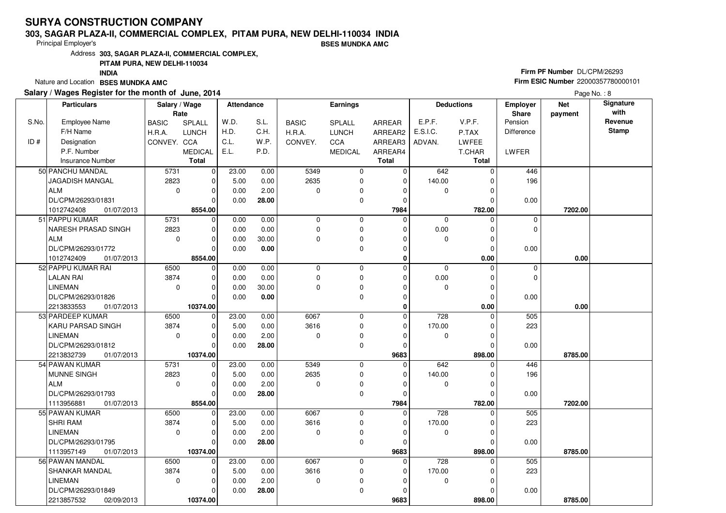### **303, SAGAR PLAZA-II, COMMERCIAL COMPLEX, PITAM PURA, NEW DELHI-110034 INDIABSES MUNDKA AMC**

Principal Employer's

Address**303, SAGAR PLAZA-II, COMMERCIAL COMPLEX,**

### **PITAM PURA, NEW DELHI-110034**

**INDIA**

Nature and Location **BSES MUNDKA AMC** 

### **Salary / Wages Register for the month of June, 2014**

# **Firm PF Number** DL/CPM/26293 **Firm ESIC Number** <sup>22000357780000101</sup>

|       | <b>Particulars</b>         | Salary / Wage<br>Rate |                | Attendance |       |              | <b>Earnings</b> |               |                  | <b>Deductions</b> | <b>Employer</b><br><b>Share</b> | <b>Net</b> | Signature<br>with |
|-------|----------------------------|-----------------------|----------------|------------|-------|--------------|-----------------|---------------|------------------|-------------------|---------------------------------|------------|-------------------|
| S.No. | <b>Employee Name</b>       | <b>BASIC</b>          | SPLALL         | W.D.       | S.L.  | <b>BASIC</b> | <b>SPLALL</b>   | <b>ARREAR</b> | E.P.F.           | V.P.F.            | Pension                         | payment    | Revenue           |
|       | F/H Name                   | H.R.A.                | <b>LUNCH</b>   | H.D.       | C.H.  | H.R.A.       | <b>LUNCH</b>    | ARREAR2       | E.S.I.C.         | P.TAX             | Difference                      |            | <b>Stamp</b>      |
| ID#   | Designation                | CONVEY. CCA           |                | C.L.       | W.P.  | CONVEY.      | CCA             | ARREAR3       | ADVAN.           | <b>LWFEE</b>      |                                 |            |                   |
|       | P.F. Number                |                       | <b>MEDICAL</b> | E.L.       | P.D.  |              | <b>MEDICAL</b>  | ARREAR4       |                  | T.CHAR            | LWFER                           |            |                   |
|       | <b>Insurance Number</b>    |                       | <b>Total</b>   |            |       |              |                 | <b>Total</b>  |                  | Total             |                                 |            |                   |
|       |                            |                       |                |            |       |              |                 |               |                  |                   |                                 |            |                   |
|       | 50 PANCHU MANDAL           | 5731                  | $\mathbf 0$    | 23.00      | 0.00  | 5349         | 0               | 0             | 642              | $\Omega$          | 446                             |            |                   |
|       | JAGADISH MANGAL            | 2823                  | $\mathbf 0$    | 5.00       | 0.00  | 2635         | 0               | $\mathbf 0$   | 140.00           | O                 | 196                             |            |                   |
|       | <b>ALM</b>                 | $\mathbf 0$           | $\mathbf 0$    | 0.00       | 2.00  | $\Omega$     | 0               | $\Omega$      | 0                | $\Omega$          |                                 |            |                   |
|       | DL/CPM/26293/01831         |                       | $\mathbf 0$    | 0.00       | 28.00 |              | 0               | $\mathbf 0$   |                  | $\Omega$          | 0.00                            |            |                   |
|       | 1012742408<br>01/07/2013   |                       | 8554.00        |            |       |              |                 | 7984          |                  | 782.00            |                                 | 7202.00    |                   |
|       | 51 PAPPU KUMAR             | 5731                  | $\overline{0}$ | 0.00       | 0.00  | $\mathbf 0$  | 0               | $\mathbf 0$   | $\mathbf 0$      | $\Omega$          | $\mathbf 0$                     |            |                   |
|       | <b>NARESH PRASAD SINGH</b> | 2823                  | $\mathbf 0$    | 0.00       | 0.00  | $\Omega$     | $\mathbf 0$     | $\Omega$      | 0.00             | $\Omega$          | $\mathbf 0$                     |            |                   |
|       | ALM                        | $\mathbf 0$           | $\mathbf 0$    | 0.00       | 30.00 | 0            | 0               | $\Omega$      | $\mathbf 0$      |                   |                                 |            |                   |
|       | DL/CPM/26293/01772         |                       | $\overline{0}$ | 0.00       | 0.00  |              | 0               | $\Omega$      |                  | $\Omega$          | 0.00                            |            |                   |
|       | 1012742409<br>01/07/2013   |                       | 8554.00        |            |       |              |                 | 0             |                  | 0.00              |                                 | 0.00       |                   |
|       | 52 PAPPU KUMAR RAI         | 6500                  | $\mathbf 0$    | 0.00       | 0.00  | $\mathbf 0$  | $\mathbf 0$     | $\mathbf 0$   | $\mathbf 0$      | $\Omega$          | $\mathbf 0$                     |            |                   |
|       | <b>LALAN RAI</b>           | 3874                  | $\mathbf 0$    | 0.00       | 0.00  | 0            | 0               | $\mathbf 0$   | 0.00             | $\Omega$          | $\Omega$                        |            |                   |
|       | <b>LINEMAN</b>             | $\mathbf 0$           | $\mathbf 0$    | 0.00       | 30.00 | 0            | 0               | $\mathbf 0$   | $\mathbf{0}$     | $\Omega$          |                                 |            |                   |
|       | DL/CPM/26293/01826         |                       | $\overline{0}$ | 0.00       | 0.00  |              | $\mathbf 0$     | $\Omega$      |                  | $\Omega$          | 0.00                            |            |                   |
|       | 2213833553<br>01/07/2013   |                       | 10374.00       |            |       |              |                 | $\bf{0}$      |                  | 0.00              |                                 | 0.00       |                   |
|       | 53 PARDEEP KUMAR           | 6500                  | $\mathbf 0$    | 23.00      | 0.00  | 6067         | $\mathbf 0$     | $\mathbf 0$   | $\overline{728}$ | $\Omega$          | 505                             |            |                   |
|       | KARU PARSAD SINGH          | 3874                  | $\mathbf 0$    | 5.00       | 0.00  | 3616         | $\mathbf 0$     | $\Omega$      | 170.00           | $\epsilon$        | 223                             |            |                   |
|       | <b>LINEMAN</b>             | $\mathbf 0$           | $\mathbf 0$    | 0.00       | 2.00  | 0            | 0               | $\Omega$      | 0                | $\Omega$          |                                 |            |                   |
|       | DL/CPM/26293/01812         |                       | $\Omega$       | 0.00       | 28.00 |              | $\mathbf 0$     | $\Omega$      |                  | $\mathcal{C}$     | 0.00                            |            |                   |
|       | 2213832739<br>01/07/2013   |                       | 10374.00       |            |       |              |                 | 9683          |                  | 898.00            |                                 | 8785.00    |                   |
|       | 54 PAWAN KUMAR             | 5731                  | $\mathbf 0$    | 23.00      | 0.00  | 5349         | $\mathbf 0$     | $\mathbf 0$   | 642              | $\Omega$          | 446                             |            |                   |
|       | <b>MUNNE SINGH</b>         | 2823                  | $\mathbf 0$    | 5.00       | 0.00  | 2635         | 0               | $\Omega$      | 140.00           |                   | 196                             |            |                   |
|       | ALM                        | $\mathbf 0$           | $\mathbf 0$    | 0.00       | 2.00  | 0            | 0               | $\Omega$      | $\mathbf 0$      | $\Omega$          |                                 |            |                   |
|       | DL/CPM/26293/01793         |                       | $\mathbf 0$    | 0.00       | 28.00 |              | $\mathbf 0$     | $\Omega$      |                  | $\epsilon$        | 0.00                            |            |                   |
|       | 1113956881<br>01/07/2013   |                       | 8554.00        |            |       |              |                 | 7984          |                  | 782.00            |                                 | 7202.00    |                   |
|       | 55 PAWAN KUMAR             | 6500                  | $\mathbf 0$    | 23.00      | 0.00  | 6067         | $\mathbf 0$     | $\mathbf 0$   | $\overline{728}$ | ſ                 | 505                             |            |                   |
|       | <b>SHRI RAM</b>            | 3874                  | $\mathbf 0$    | 5.00       | 0.00  | 3616         | 0               | $\mathbf 0$   | 170.00           | $\Omega$          | 223                             |            |                   |
|       | <b>LINEMAN</b>             | $\Omega$              | $\mathbf 0$    | 0.00       | 2.00  | 0            | 0               | $\Omega$      | 0                | C                 |                                 |            |                   |
|       | DL/CPM/26293/01795         |                       | $\Omega$       | 0.00       | 28.00 |              | 0               | $\Omega$      |                  | $\Omega$          | 0.00                            |            |                   |
|       | 1113957149<br>01/07/2013   |                       | 10374.00       |            |       |              |                 | 9683          |                  | 898.00            |                                 | 8785.00    |                   |
|       | 56 PAWAN MANDAL            | 6500                  | $\mathbf 0$    | 23.00      | 0.00  | 6067         | $\mathbf 0$     | $\mathbf 0$   | 728              |                   | 505                             |            |                   |
|       | SHANKAR MANDAL             | 3874                  | $\mathbf 0$    | 5.00       | 0.00  | 3616         | 0               | $\mathbf 0$   | 170.00           |                   | 223                             |            |                   |
|       | <b>LINEMAN</b>             | $\mathbf 0$           | $\mathbf 0$    | 0.00       | 2.00  | 0            | 0               | $\Omega$      | $\mathbf{0}$     | $\Omega$          |                                 |            |                   |
|       | DL/CPM/26293/01849         |                       | $\mathbf 0$    | 0.00       | 28.00 |              | 0               | $\Omega$      |                  | 0                 | 0.00                            |            |                   |
|       | 2213857532<br>02/09/2013   |                       | 10374.00       |            |       |              |                 | 9683          |                  | 898.00            |                                 | 8785.00    |                   |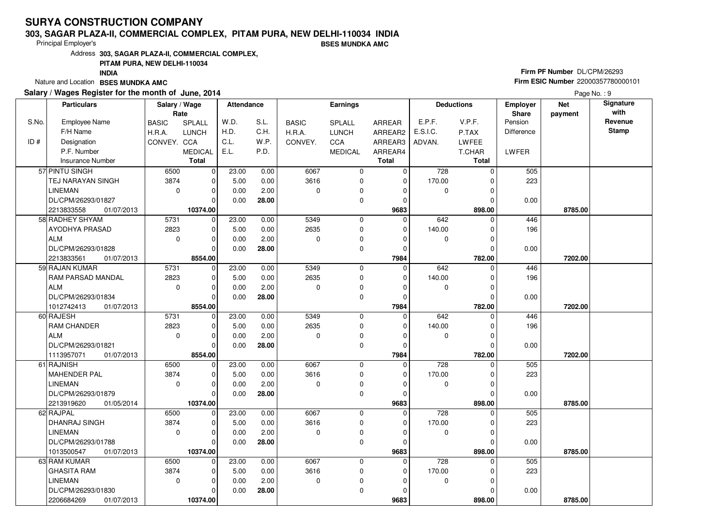### **303, SAGAR PLAZA-II, COMMERCIAL COMPLEX, PITAM PURA, NEW DELHI-110034 INDIABSES MUNDKA AMC**

Principal Employer's

Address**303, SAGAR PLAZA-II, COMMERCIAL COMPLEX,**

**PITAM PURA, NEW DELHI-110034**

**INDIA**

Nature and Location **BSES MUNDKA AMC** 

### **Salary / Wages Register for the month of June, 2014**

# **Firm PF Number** DL/CPM/26293 **Firm ESIC Number** <sup>22000357780000101</sup>

|       | <b>Particulars</b>       | Salary / Wage<br>Rate |                | <b>Attendance</b> |       |              | Earnings       |              |             | <b>Deductions</b> | <b>Employer</b><br><b>Share</b> | <b>Net</b><br>payment | Signature<br>with |
|-------|--------------------------|-----------------------|----------------|-------------------|-------|--------------|----------------|--------------|-------------|-------------------|---------------------------------|-----------------------|-------------------|
| S.No. | <b>Employee Name</b>     | <b>BASIC</b>          | SPLALL         | W.D.              | S.L.  | <b>BASIC</b> | SPLALL         | ARREAR       | E.P.F.      | V.P.F.            | Pension                         |                       | Revenue           |
|       | F/H Name                 | H.R.A.                | <b>LUNCH</b>   | H.D.              | C.H.  | H.R.A.       | <b>LUNCH</b>   | ARREAR2      | E.S.I.C.    | P.TAX             | <b>Difference</b>               |                       | Stamp             |
| ID#   | Designation              | CONVEY. CCA           |                | C.L.              | W.P.  | CONVEY.      | CCA            | ARREAR3      | ADVAN.      | LWFEE             |                                 |                       |                   |
|       | P.F. Number              |                       | <b>MEDICAL</b> | E.L.              | P.D.  |              | <b>MEDICAL</b> | ARREAR4      |             | T.CHAR            | LWFER                           |                       |                   |
|       | Insurance Number         |                       | <b>Total</b>   |                   |       |              |                | <b>Total</b> |             | Total             |                                 |                       |                   |
|       | 57 PINTU SINGH           | 6500                  | $\mathbf 0$    | 23.00             | 0.00  | 6067         | 0              | 0            | 728         | $\Omega$          | 505                             |                       |                   |
|       | TEJ NARAYAN SINGH        | 3874                  | 0              | 5.00              | 0.00  | 3616         | 0              | 0            | 170.00      | $\Omega$          | 223                             |                       |                   |
|       | LINEMAN                  | $\mathbf 0$           | $\mathbf 0$    | 0.00              | 2.00  | $\mathbf 0$  | 0              | $\Omega$     | 0           | $\Omega$          |                                 |                       |                   |
|       | DL/CPM/26293/01827       |                       | $\Omega$       | 0.00              | 28.00 |              | 0              | $\Omega$     |             | 0                 | 0.00                            |                       |                   |
|       | 2213833558<br>01/07/2013 |                       | 10374.00       |                   |       |              |                | 9683         |             | 898.00            |                                 | 8785.00               |                   |
|       | 58 RADHEY SHYAM          | 5731                  | $\mathbf 0$    | 23.00             | 0.00  | 5349         | 0              | $\Omega$     | 642         | $\Omega$          | 446                             |                       |                   |
|       | AYODHYA PRASAD           | 2823                  | $\mathbf 0$    | 5.00              | 0.00  | 2635         | 0              | 0            | 140.00      | $\Omega$          | 196                             |                       |                   |
|       | ALM                      | $\mathbf 0$           | $\mathbf 0$    | 0.00              | 2.00  | $\mathbf 0$  | 0              | 0            | 0           | 0                 |                                 |                       |                   |
|       | DL/CPM/26293/01828       |                       | $\Omega$       | 0.00              | 28.00 |              | 0              | $\Omega$     |             | $\Omega$          | 0.00                            |                       |                   |
|       | 2213833561<br>01/07/2013 |                       | 8554.00        |                   |       |              |                | 7984         |             | 782.00            |                                 | 7202.00               |                   |
|       | 59 RAJAN KUMAR           | 5731                  | $\overline{0}$ | 23.00             | 0.00  | 5349         | 0              | $\Omega$     | 642         | $\Omega$          | 446                             |                       |                   |
|       | <b>RAM PARSAD MANDAL</b> | 2823                  | 0              | 5.00              | 0.00  | 2635         | 0              | 0            | 140.00      | 0                 | 196                             |                       |                   |
|       | ALM                      | $\mathbf 0$           | $\Omega$       | 0.00              | 2.00  | $\mathbf 0$  | 0              | $\Omega$     | $\mathbf 0$ | $\Omega$          |                                 |                       |                   |
|       | DL/CPM/26293/01834       |                       | $\Omega$       | 0.00              | 28.00 |              | 0              | $\Omega$     |             | 0                 | 0.00                            |                       |                   |
|       | 1012742413<br>01/07/2013 |                       | 8554.00        |                   |       |              |                | 7984         |             | 782.00            |                                 | 7202.00               |                   |
|       | 60 RAJESH                | 5731                  | $\overline{0}$ | 23.00             | 0.00  | 5349         | 0              | 0            | 642         | $\mathbf 0$       | 446                             |                       |                   |
|       | <b>RAM CHANDER</b>       | 2823                  | $\Omega$       | 5.00              | 0.00  | 2635         | 0              | $\Omega$     | 140.00      | $\Omega$          | 196                             |                       |                   |
|       | ALM                      | $\mathbf 0$           | $\mathbf 0$    | 0.00              | 2.00  | $\mathbf 0$  | 0              | $\Omega$     | 0           | $\Omega$          |                                 |                       |                   |
|       | DL/CPM/26293/01821       |                       | $\Omega$       | 0.00              | 28.00 |              | 0              | $\Omega$     |             | O                 | 0.00                            |                       |                   |
|       | 1113957071<br>01/07/2013 |                       | 8554.00        |                   |       |              |                | 7984         |             | 782.00            |                                 | 7202.00               |                   |
|       | 61 RAJNISH               | 6500                  | $\mathbf 0$    | 23.00             | 0.00  | 6067         | 0              | 0            | 728         | $\Omega$          | 505                             |                       |                   |
|       | MAHENDER PAL             | 3874                  | $\Omega$       | 5.00              | 0.00  | 3616         | 0              | 0            | 170.00      | $\Omega$          | 223                             |                       |                   |
|       | <b>LINEMAN</b>           | $\mathbf 0$           | $\mathbf 0$    | 0.00              | 2.00  | $\mathbf 0$  | 0              | $\Omega$     | 0           | $\Omega$          |                                 |                       |                   |
|       | DL/CPM/26293/01879       |                       | $\mathbf 0$    | 0.00              | 28.00 |              | 0              | O            |             | U                 | 0.00                            |                       |                   |
|       | 2213919620<br>01/05/2014 |                       | 10374.00       |                   |       |              |                | 9683         |             | 898.00            |                                 | 8785.00               |                   |
|       | 62 RAJPAL                | 6500                  | $\mathbf 0$    | 23.00             | 0.00  | 6067         | 0              | 0            | 728         | U                 | 505                             |                       |                   |
|       | <b>DHANRAJ SINGH</b>     | 3874                  | $\Omega$       | 5.00              | 0.00  | 3616         | 0              | $\Omega$     | 170.00      | $\Omega$          | 223                             |                       |                   |
|       | <b>LINEMAN</b>           | $\mathbf 0$           | $\mathbf 0$    | 0.00              | 2.00  | $\mathbf 0$  | 0              | $\Omega$     | 0           | $\Omega$          |                                 |                       |                   |
|       | DL/CPM/26293/01788       |                       | $\Omega$       | 0.00              | 28.00 |              | 0              | $\Omega$     |             | $\Omega$          | 0.00                            |                       |                   |
|       | 1013500547<br>01/07/2013 |                       | 10374.00       |                   |       |              |                | 9683         |             | 898.00            |                                 | 8785.00               |                   |
|       | 63 RAM KUMAR             | 6500                  | $\mathbf 0$    | 23.00             | 0.00  | 6067         | 0              | $\Omega$     | 728         | U                 | 505                             |                       |                   |
|       | <b>GHASITA RAM</b>       | 3874                  | $\Omega$       | 5.00              | 0.00  | 3616         | 0              | $\Omega$     | 170.00      | U                 | 223                             |                       |                   |
|       | <b>LINEMAN</b>           | $\mathbf 0$           | $\mathbf 0$    | 0.00              | 2.00  | $\mathbf 0$  | 0              | $\Omega$     | $\mathbf 0$ | $\Omega$          |                                 |                       |                   |
|       | DL/CPM/26293/01830       |                       | $\mathbf 0$    | 0.00              | 28.00 |              | 0              | ŋ            |             | $\Omega$          | 0.00                            |                       |                   |
|       | 2206684269<br>01/07/2013 |                       | 10374.00       |                   |       |              |                | 9683         |             | 898.00            |                                 | 8785.00               |                   |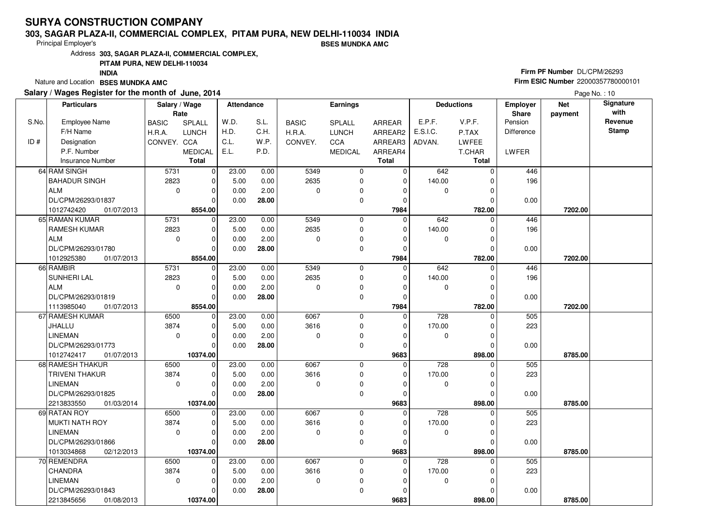### **303, SAGAR PLAZA-II, COMMERCIAL COMPLEX, PITAM PURA, NEW DELHI-110034 INDIABSES MUNDKA AMC**

Principal Employer's

Address**303, SAGAR PLAZA-II, COMMERCIAL COMPLEX,**

**PITAM PURA, NEW DELHI-110034**

**INDIA**

Nature and Location **BSES MUNDKA AMC** 

### **Salary / Wages Register for the month of June, 2014**

# **Firm PF Number** DL/CPM/26293 **Firm ESIC Number** <sup>22000357780000101</sup>

|       | <b>Particulars</b>       | Salary / Wage<br>Rate |                | Attendance |       |              | Earnings       |                |             | <b>Deductions</b> | <b>Employer</b><br>Share | <b>Net</b><br>payment | Signature<br>with |
|-------|--------------------------|-----------------------|----------------|------------|-------|--------------|----------------|----------------|-------------|-------------------|--------------------------|-----------------------|-------------------|
| S.No. | Employee Name            | <b>BASIC</b>          | SPLALL         | W.D.       | S.L.  | <b>BASIC</b> | SPLALL         | ARREAR         | E.P.F.      | V.P.F.            | Pension                  |                       | Revenue           |
|       | F/H Name                 | H.R.A.                | <b>LUNCH</b>   | H.D.       | C.H.  | H.R.A.       | <b>LUNCH</b>   | ARREAR2        | E.S.I.C.    | P.TAX             | Difference               |                       | <b>Stamp</b>      |
| ID#   | Designation              | CONVEY. CCA           |                | C.L.       | W.P.  | CONVEY.      | CCA            | ARREAR3        | ADVAN.      | <b>LWFEE</b>      |                          |                       |                   |
|       | P.F. Number              |                       | <b>MEDICAL</b> | E.L.       | P.D.  |              | <b>MEDICAL</b> | ARREAR4        |             | T.CHAR            | LWFER                    |                       |                   |
|       | <b>Insurance Number</b>  |                       | <b>Total</b>   |            |       |              |                | <b>Total</b>   |             | <b>Total</b>      |                          |                       |                   |
|       | 64 RAM SINGH             | 5731                  | $\overline{0}$ | 23.00      | 0.00  | 5349         | 0              | 0              | 642         | $\Omega$          | 446                      |                       |                   |
|       | <b>BAHADUR SINGH</b>     | 2823                  | $\mathbf 0$    | 5.00       | 0.00  | 2635         | 0              | $\mathbf 0$    | 140.00      | $\Omega$          | 196                      |                       |                   |
|       | ALM                      | $\mathbf 0$           | $\mathbf 0$    | 0.00       | 2.00  | $\mathbf 0$  | 0              | 0              | 0           | $\Omega$          |                          |                       |                   |
|       | DL/CPM/26293/01837       |                       | $\Omega$       | 0.00       | 28.00 |              | 0              | $\Omega$       |             | 0                 | 0.00                     |                       |                   |
|       | 1012742420<br>01/07/2013 |                       | 8554.00        |            |       |              |                | 7984           |             | 782.00            |                          | 7202.00               |                   |
|       | 65 RAMAN KUMAR           | 5731                  | 0              | 23.00      | 0.00  | 5349         | 0              | $\Omega$       | 642         | $\Omega$          | 446                      |                       |                   |
|       | <b>RAMESH KUMAR</b>      | 2823                  | $\mathbf 0$    | 5.00       | 0.00  | 2635         | 0              | $\Omega$       | 140.00      | $\Omega$          | 196                      |                       |                   |
|       | ALM                      | $\mathbf 0$           | $\mathbf 0$    | 0.00       | 2.00  | $\mathbf 0$  | 0              | $\Omega$       | 0           | 0                 |                          |                       |                   |
|       | DL/CPM/26293/01780       |                       | $\Omega$       | 0.00       | 28.00 |              | 0              | 0              |             | 0                 | 0.00                     |                       |                   |
|       | 1012925380<br>01/07/2013 |                       | 8554.00        |            |       |              |                | 7984           |             | 782.00            |                          | 7202.00               |                   |
|       | 66 RAMBIR                | 5731                  | $\overline{0}$ | 23.00      | 0.00  | 5349         | 0              | $\mathbf 0$    | 642         | $\Omega$          | 446                      |                       |                   |
|       | SUNHERI LAL              | 2823                  | $\mathbf 0$    | 5.00       | 0.00  | 2635         | 0              | 0              | 140.00      | $\Omega$          | 196                      |                       |                   |
|       | ALM                      | $\mathbf 0$           | $\Omega$       | 0.00       | 2.00  | $\Omega$     | 0              | $\Omega$       | $\mathbf 0$ | $\Omega$          |                          |                       |                   |
|       | DL/CPM/26293/01819       |                       | $\mathbf 0$    | 0.00       | 28.00 |              | 0              | $\Omega$       |             | O                 | 0.00                     |                       |                   |
|       | 1113985040<br>01/07/2013 |                       | 8554.00        |            |       |              |                | 7984           |             | 782.00            |                          | 7202.00               |                   |
|       | 67 RAMESH KUMAR          | 6500                  | $\mathbf 0$    | 23.00      | 0.00  | 6067         | 0              | $\Omega$       | 728         | $\Omega$          | 505                      |                       |                   |
|       | JHALLU                   | 3874                  | $\Omega$       | 5.00       | 0.00  | 3616         | 0              | $\Omega$       | 170.00      | 0                 | 223                      |                       |                   |
|       | <b>LINEMAN</b>           | $\Omega$              | $\Omega$       | 0.00       | 2.00  | $\Omega$     | 0              | $\Omega$       | $\mathbf 0$ | $\Omega$          |                          |                       |                   |
|       | DL/CPM/26293/01773       |                       | $\Omega$       | 0.00       | 28.00 |              | 0              | $\Omega$       |             | 0                 | 0.00                     |                       |                   |
|       | 1012742417<br>01/07/2013 |                       | 10374.00       |            |       |              |                | 9683           |             | 898.00            |                          | 8785.00               |                   |
|       | 68 RAMESH THAKUR         | 6500                  | $\mathbf 0$    | 23.00      | 0.00  | 6067         | 0              | $\mathbf 0$    | 728         | $\Omega$          | 505                      |                       |                   |
|       | <b>TRIVENI THAKUR</b>    | 3874                  | $\Omega$       | 5.00       | 0.00  | 3616         | 0              | $\Omega$       | 170.00      | $\Omega$          | 223                      |                       |                   |
|       | <b>LINEMAN</b>           | $\mathbf 0$           | $\mathbf 0$    | 0.00       | 2.00  | $\mathbf 0$  | 0              | 0              | 0           | $\Omega$          |                          |                       |                   |
|       | DL/CPM/26293/01825       |                       | $\Omega$       | 0.00       | 28.00 |              | 0              | $\Omega$       |             | O                 | 0.00                     |                       |                   |
|       | 2213833550<br>01/03/2014 |                       | 10374.00       |            |       |              |                | 9683           |             | 898.00            |                          | 8785.00               |                   |
|       | 69 RATAN ROY             | 6500                  | $\mathbf 0$    | 23.00      | 0.00  | 6067         | 0              | $\overline{0}$ | 728         | $\Omega$          | 505                      |                       |                   |
|       | I MUKTI NATH ROY         | 3874                  | $\Omega$       | 5.00       | 0.00  | 3616         | 0              | $\Omega$       | 170.00      | $\Omega$          | 223                      |                       |                   |
|       | <b>LINEMAN</b>           | $\Omega$              | $\mathbf 0$    | 0.00       | 2.00  | $\Omega$     | 0              | $\Omega$       | 0           | 0                 |                          |                       |                   |
|       | DL/CPM/26293/01866       |                       | $\Omega$       | 0.00       | 28.00 |              | 0              | $\Omega$       |             | 0                 | 0.00                     |                       |                   |
|       | 1013034868<br>02/12/2013 |                       | 10374.00       |            |       |              |                | 9683           |             | 898.00            |                          | 8785.00               |                   |
|       | 70 REMENDRA              | 6500                  | $\mathbf 0$    | 23.00      | 0.00  | 6067         | 0              | $\overline{0}$ | 728         | U                 | 505                      |                       |                   |
|       | <b>CHANDRA</b>           | 3874                  | $\Omega$       | 5.00       | 0.00  | 3616         | 0              | $\Omega$       | 170.00      | 0                 | 223                      |                       |                   |
|       | <b>LINEMAN</b>           | $\mathbf 0$           | $\mathbf 0$    | 0.00       | 2.00  | $\mathbf 0$  | 0              | $\Omega$       | $\mathbf 0$ | $\Omega$          |                          |                       |                   |
|       | DL/CPM/26293/01843       |                       | $\Omega$       | 0.00       | 28.00 |              | 0              | O              |             | $\Omega$          | 0.00                     |                       |                   |
|       | 2213845656<br>01/08/2013 |                       | 10374.00       |            |       |              |                | 9683           |             | 898.00            |                          | 8785.00               |                   |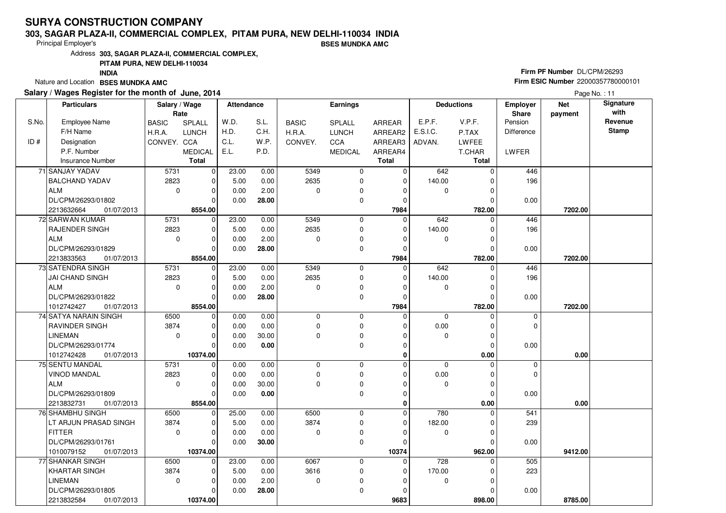### **303, SAGAR PLAZA-II, COMMERCIAL COMPLEX, PITAM PURA, NEW DELHI-110034 INDIABSES MUNDKA AMC**

Principal Employer's

Address**303, SAGAR PLAZA-II, COMMERCIAL COMPLEX,**

### **PITAM PURA, NEW DELHI-110034**

**INDIA**

Nature and Location **BSES MUNDKA AMC** 

### **Salary / Wages Register for the month of June, 2014**

# **Firm PF Number** DL/CPM/26293 **Firm ESIC Number** <sup>22000357780000101</sup>

|       | <b>Particulars</b>            | Salary / Wage<br>Rate |                | <b>Attendance</b> |       |              | Earnings       |              |             | <b>Deductions</b> | Employer<br>Share | <b>Net</b><br>payment | Signature<br>with |
|-------|-------------------------------|-----------------------|----------------|-------------------|-------|--------------|----------------|--------------|-------------|-------------------|-------------------|-----------------------|-------------------|
| S.No. | <b>Employee Name</b>          | <b>BASIC</b>          | SPLALL         | W.D.              | S.L.  | <b>BASIC</b> | SPLALL         | ARREAR       | E.P.F.      | V.P.F.            | Pension           |                       | Revenue           |
|       | F/H Name                      | H.R.A.                | <b>LUNCH</b>   | H.D.              | C.H.  | H.R.A.       | <b>LUNCH</b>   | ARREAR2      | E.S.I.C.    | P.TAX             | <b>Difference</b> |                       | <b>Stamp</b>      |
| ID#   | Designation                   | CONVEY. CCA           |                | C.L.              | W.P.  | CONVEY.      | CCA            | ARREAR3      | ADVAN.      | LWFEE             |                   |                       |                   |
|       | P.F. Number                   |                       | <b>MEDICAL</b> | E.L.              | P.D.  |              | <b>MEDICAL</b> | ARREAR4      |             | T.CHAR            | LWFER             |                       |                   |
|       | Insurance Number              |                       | <b>Total</b>   |                   |       |              |                | <b>Total</b> |             | <b>Total</b>      |                   |                       |                   |
|       | 71 SANJAY YADAV               | 5731                  | $\mathbf 0$    | 23.00             | 0.00  | 5349         | $\mathbf 0$    | $\mathbf 0$  | 642         | $\Omega$          | 446               |                       |                   |
|       | <b>BALCHAND YADAV</b>         | 2823                  | 0              | 5.00              | 0.00  | 2635         | $\mathbf 0$    | $\mathbf 0$  | 140.00      | $\Omega$          | 196               |                       |                   |
|       | <b>ALM</b>                    | $\mathbf 0$           | $\mathbf 0$    | 0.00              | 2.00  | 0            | 0              | $\Omega$     | $\mathbf 0$ | $\Omega$          |                   |                       |                   |
|       | DL/CPM/26293/01802            |                       | $\Omega$       | 0.00              | 28.00 |              | 0              | $\Omega$     |             | 0                 | 0.00              |                       |                   |
|       | 01/07/2013                    |                       | 8554.00        |                   |       |              |                | 7984         |             | 782.00            |                   | 7202.00               |                   |
|       | 2213632664<br>72 SARWAN KUMAR | 5731                  | $\mathbf 0$    | 23.00             | 0.00  | 5349         | $\mathbf 0$    |              | 642         | $\Omega$          |                   |                       |                   |
|       |                               |                       |                |                   |       |              |                | $\mathbf 0$  |             |                   | 446               |                       |                   |
|       | RAJENDER SINGH                | 2823                  | $\mathbf 0$    | 5.00              | 0.00  | 2635         | 0              | $\mathbf 0$  | 140.00      | 0                 | 196               |                       |                   |
|       | <b>ALM</b>                    | $\mathbf 0$           | $\mathbf 0$    | 0.00              | 2.00  | $\Omega$     | 0              | $\Omega$     | $\mathbf 0$ | $\Omega$          |                   |                       |                   |
|       | DL/CPM/26293/01829            |                       | $\mathbf 0$    | 0.00              | 28.00 |              | 0              | $\mathbf 0$  |             | $\Omega$          | 0.00              |                       |                   |
|       | 01/07/2013<br>2213833563      |                       | 8554.00        |                   |       |              |                | 7984         |             | 782.00            |                   | 7202.00               |                   |
|       | 73 SATENDRA SINGH             | 5731                  | 0              | 23.00             | 0.00  | 5349         | 0              | $\mathbf 0$  | 642         | $\Omega$          | 446               |                       |                   |
|       | JAI CHAND SINGH               | 2823                  | $\mathbf 0$    | 5.00              | 0.00  | 2635         | 0              | $\mathbf 0$  | 140.00      | C                 | 196               |                       |                   |
|       | ALM                           | $\mathbf 0$           | $\mathbf 0$    | 0.00              | 2.00  | 0            | 0              | $\Omega$     | $\mathbf 0$ | $\Omega$          |                   |                       |                   |
|       | DL/CPM/26293/01822            |                       | $\mathbf 0$    | 0.00              | 28.00 |              | 0              | $\Omega$     |             | $\Omega$          | 0.00              |                       |                   |
|       | 1012742427<br>01/07/2013      |                       | 8554.00        |                   |       |              |                | 7984         |             | 782.00            |                   | 7202.00               |                   |
|       | 74 SATYA NARAIN SINGH         | 6500                  | $\mathbf 0$    | 0.00              | 0.00  | 0            | $\mathbf 0$    | $\mathbf 0$  | $\mathbf 0$ | $\Omega$          | 0                 |                       |                   |
|       | <b>RAVINDER SINGH</b>         | 3874                  | $\mathbf 0$    | 0.00              | 0.00  | $\Omega$     | 0              | $\Omega$     | 0.00        | $\Omega$          | 0                 |                       |                   |
|       | <b>LINEMAN</b>                | $\Omega$              | $\mathbf 0$    | 0.00              | 30.00 | $\mathbf 0$  | 0              | $\Omega$     | $\mathbf 0$ | $\Omega$          |                   |                       |                   |
|       | DL/CPM/26293/01774            |                       | $\Omega$       | 0.00              | 0.00  |              | 0              | $\Omega$     |             | $\Omega$          | 0.00              |                       |                   |
|       | 1012742428<br>01/07/2013      |                       | 10374.00       |                   |       |              |                | $\mathbf 0$  |             | 0.00              |                   | 0.00                  |                   |
|       | 75 SENTU MANDAL               | 5731                  | $\mathbf 0$    | 0.00              | 0.00  | $\mathbf 0$  | $\mathbf 0$    | $\Omega$     | $\Omega$    | $\Omega$          | $\mathbf 0$       |                       |                   |
|       | <b>VINOD MANDAL</b>           | 2823                  | $\mathbf 0$    | 0.00              | 0.00  | $\mathbf 0$  | 0              | $\Omega$     | 0.00        |                   | $\mathbf 0$       |                       |                   |
|       | <b>ALM</b>                    | $\Omega$              | $\mathbf 0$    | 0.00              | 30.00 | $\Omega$     | $\mathbf 0$    | $\Omega$     | $\Omega$    | $\Omega$          |                   |                       |                   |
|       | DL/CPM/26293/01809            |                       | $\mathbf 0$    | 0.00              | 0.00  |              | $\mathbf 0$    | $\mathbf 0$  |             | $\Omega$          | 0.00              |                       |                   |
|       | 2213832731<br>01/07/2013      |                       | 8554.00        |                   |       |              |                | 0            |             | 0.00              |                   | 0.00                  |                   |
|       | 76 SHAMBHU SINGH              | 6500                  | $\mathbf 0$    | 25.00             | 0.00  | 6500         | $\mathbf 0$    | $\mathbf 0$  | 780         | $\Omega$          | 541               |                       |                   |
|       | LT ARJUN PRASAD SINGH         | 3874                  | $\mathbf 0$    | 5.00              | 0.00  | 3874         | $\mathbf 0$    | $\mathbf 0$  | 182.00      | $\Omega$          | 239               |                       |                   |
|       | <b>FITTER</b>                 | $\mathbf 0$           | $\mathbf 0$    | 0.00              | 0.00  | $\mathbf 0$  | 0              | $\Omega$     | $\mathbf 0$ | $\Omega$          |                   |                       |                   |
|       | DL/CPM/26293/01761            |                       | $\Omega$       | 0.00              | 30.00 |              | $\mathbf 0$    | $\Omega$     |             | $\Omega$          | 0.00              |                       |                   |
|       | 1010079152<br>01/07/2013      |                       | 10374.00       |                   |       |              |                | 10374        |             | 962.00            |                   | 9412.00               |                   |
|       | 77 SHANKAR SINGH              | 6500                  | $\mathbf 0$    | 23.00             | 0.00  | 6067         | $\mathbf 0$    | $\mathbf 0$  | 728         |                   | 505               |                       |                   |
|       | <b>KHARTAR SINGH</b>          | 3874                  | $\mathbf 0$    | 5.00              | 0.00  | 3616         | 0              | 0            | 170.00      |                   | 223               |                       |                   |
|       | <b>LINEMAN</b>                | $\mathbf 0$           | $\mathbf 0$    | 0.00              | 2.00  | $\mathbf 0$  | 0              | $\Omega$     | 0           | $\Omega$          |                   |                       |                   |
|       | DL/CPM/26293/01805            |                       | $\mathbf 0$    | 0.00              | 28.00 |              | 0              | $\Omega$     |             | $\Omega$          | 0.00              |                       |                   |
|       | 2213832584<br>01/07/2013      |                       | 10374.00       |                   |       |              |                | 9683         |             | 898.00            |                   | 8785.00               |                   |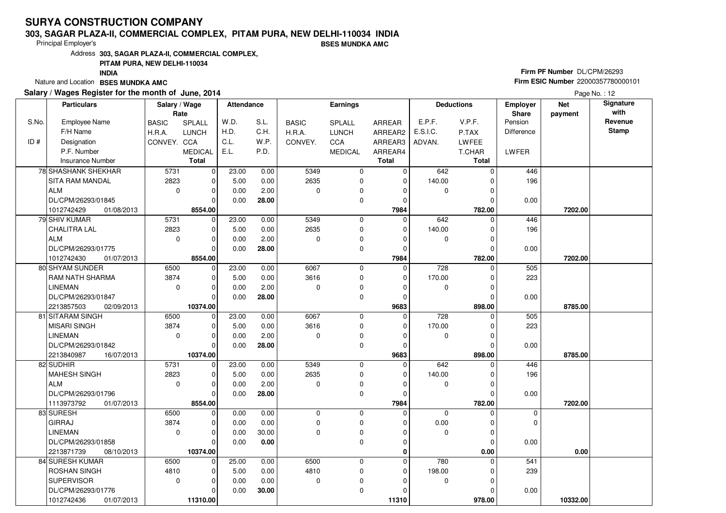### **303, SAGAR PLAZA-II, COMMERCIAL COMPLEX, PITAM PURA, NEW DELHI-110034 INDIABSES MUNDKA AMC**

Principal Employer's

Address**303, SAGAR PLAZA-II, COMMERCIAL COMPLEX,**

### **PITAM PURA, NEW DELHI-110034**

**INDIA**

Nature and Location **BSES MUNDKA AMC** 

### **Salary / Wages Register for the month of June, 2014**

# **Firm PF Number** DL/CPM/26293 **Firm ESIC Number** <sup>22000357780000101</sup>

|       | <b>Particulars</b>       | Salary / Wage<br>Rate |                | <b>Attendance</b> |       |              | Earnings       |              |             | <b>Deductions</b> | <b>Employer</b><br><b>Share</b> | <b>Net</b><br>payment | Signature<br>with |
|-------|--------------------------|-----------------------|----------------|-------------------|-------|--------------|----------------|--------------|-------------|-------------------|---------------------------------|-----------------------|-------------------|
| S.No. | <b>Employee Name</b>     | <b>BASIC</b>          | SPLALL         | W.D.              | S.L.  | <b>BASIC</b> | SPLALL         | ARREAR       | E.P.F.      | V.P.F.            | Pension                         |                       | Revenue           |
|       | F/H Name                 | H.R.A.                | <b>LUNCH</b>   | H.D.              | C.H.  | H.R.A.       | <b>LUNCH</b>   | ARREAR2      | E.S.I.C.    | P.TAX             | <b>Difference</b>               |                       | Stamp             |
| ID#   | Designation              | CONVEY. CCA           |                | C.L.              | W.P.  | CONVEY.      | CCA            | ARREAR3      | ADVAN.      | LWFEE             |                                 |                       |                   |
|       | P.F. Number              |                       | <b>MEDICAL</b> | E.L.              | P.D.  |              | <b>MEDICAL</b> | ARREAR4      |             | T.CHAR            | LWFER                           |                       |                   |
|       | Insurance Number         |                       | <b>Total</b>   |                   |       |              |                | <b>Total</b> |             | Total             |                                 |                       |                   |
|       | 78 SHASHANK SHEKHAR      | 5731                  | $\mathbf 0$    | 23.00             | 0.00  | 5349         | 0              | 0            | 642         | $\Omega$          | 446                             |                       |                   |
|       | SITA RAM MANDAL          | 2823                  | $\mathbf 0$    | 5.00              | 0.00  | 2635         | 0              | 0            | 140.00      | $\Omega$          | 196                             |                       |                   |
|       | ALM                      | $\mathbf 0$           | $\mathbf 0$    | 0.00              | 2.00  | $\mathbf 0$  | 0              | $\Omega$     | $\mathbf 0$ | $\Omega$          |                                 |                       |                   |
|       | DL/CPM/26293/01845       |                       | $\Omega$       | 0.00              | 28.00 |              | 0              | $\Omega$     |             | 0                 | 0.00                            |                       |                   |
|       | 1012742429<br>01/08/2013 |                       | 8554.00        |                   |       |              |                | 7984         |             | 782.00            |                                 | 7202.00               |                   |
|       | 79 SHIV KUMAR            | 5731                  | $\mathbf 0$    | 23.00             | 0.00  | 5349         | 0              | $\Omega$     | 642         | $\Omega$          | 446                             |                       |                   |
|       | <b>CHALITRA LAL</b>      | 2823                  | $\mathbf 0$    | 5.00              | 0.00  | 2635         | 0              | $\Omega$     | 140.00      | $\Omega$          | 196                             |                       |                   |
|       | ALM                      | $\mathbf 0$           | $\mathbf 0$    | 0.00              | 2.00  | $\mathbf 0$  | 0              | 0            | 0           | 0                 |                                 |                       |                   |
|       | DL/CPM/26293/01775       |                       | $\Omega$       | 0.00              | 28.00 |              | 0              | $\Omega$     |             | $\Omega$          | 0.00                            |                       |                   |
|       | 1012742430<br>01/07/2013 |                       | 8554.00        |                   |       |              |                | 7984         |             | 782.00            |                                 | 7202.00               |                   |
|       | 80 SHYAM SUNDER          | 6500                  | $\overline{0}$ | 23.00             | 0.00  | 6067         | 0              | $\Omega$     | 728         | $\Omega$          | 505                             |                       |                   |
|       | <b>RAM NATH SHARMA</b>   | 3874                  | 0              | 5.00              | 0.00  | 3616         | 0              | 0            | 170.00      | 0                 | 223                             |                       |                   |
|       | <b>LINEMAN</b>           | $\mathbf 0$           | $\Omega$       | 0.00              | 2.00  | $\Omega$     | 0              | $\Omega$     | $\mathbf 0$ | $\Omega$          |                                 |                       |                   |
|       | DL/CPM/26293/01847       |                       | $\Omega$       | 0.00              | 28.00 |              | 0              | $\Omega$     |             | 0                 | 0.00                            |                       |                   |
|       | 2213857503<br>02/09/2013 |                       | 10374.00       |                   |       |              |                | 9683         |             | 898.00            |                                 | 8785.00               |                   |
|       | 81 SITARAM SINGH         | 6500                  | $\overline{0}$ | 23.00             | 0.00  | 6067         | 0              | 0            | 728         | $\mathbf 0$       | 505                             |                       |                   |
|       | MISARI SINGH             | 3874                  | $\Omega$       | 5.00              | 0.00  | 3616         | 0              | $\Omega$     | 170.00      | $\Omega$          | 223                             |                       |                   |
|       | <b>LINEMAN</b>           | $\mathbf 0$           | $\mathbf 0$    | 0.00              | 2.00  | $\mathbf 0$  | 0              | $\Omega$     | 0           | $\Omega$          |                                 |                       |                   |
|       | DL/CPM/26293/01842       |                       | $\Omega$       | 0.00              | 28.00 |              | 0              | $\Omega$     |             | $\Omega$          | 0.00                            |                       |                   |
|       | 2213840987<br>16/07/2013 |                       | 10374.00       |                   |       |              |                | 9683         |             | 898.00            |                                 | 8785.00               |                   |
|       | 82 SUDHIR                | 5731                  | $\mathbf 0$    | 23.00             | 0.00  | 5349         | 0              | $\mathbf 0$  | 642         | $\Omega$          | 446                             |                       |                   |
|       | MAHESH SINGH             | 2823                  | $\Omega$       | 5.00              | 0.00  | 2635         | 0              | 0            | 140.00      | $\Omega$          | 196                             |                       |                   |
|       | <b>ALM</b>               | $\mathbf 0$           | $\mathbf 0$    | 0.00              | 2.00  | $\mathbf 0$  | 0              | $\Omega$     | $\mathbf 0$ | $\Omega$          |                                 |                       |                   |
|       | DL/CPM/26293/01796       |                       | $\mathbf 0$    | 0.00              | 28.00 |              | 0              | $\Omega$     |             | $\Omega$          | 0.00                            |                       |                   |
|       | 1113973792<br>01/07/2013 |                       | 8554.00        |                   |       |              |                | 7984         |             | 782.00            |                                 | 7202.00               |                   |
|       | 83 SURESH                | 6500                  | $\mathbf 0$    | 0.00              | 0.00  | $\mathbf 0$  | 0              | $\Omega$     | $\mathbf 0$ | $\Omega$          | $\mathbf 0$                     |                       |                   |
|       | <b>GIRRAJ</b>            | 3874                  | $\mathbf 0$    | 0.00              | 0.00  | $\mathbf 0$  | 0              | $\Omega$     | 0.00        | $\Omega$          | 0                               |                       |                   |
|       | <b>LINEMAN</b>           | $\mathbf 0$           | $\mathbf 0$    | 0.00              | 30.00 | $\Omega$     | 0              | $\Omega$     | 0           | $\Omega$          |                                 |                       |                   |
|       | DL/CPM/26293/01858       |                       | $\Omega$       | 0.00              | 0.00  |              | 0              | $\Omega$     |             | $\Omega$          | 0.00                            |                       |                   |
|       | 2213871739<br>08/10/2013 |                       | 10374.00       |                   |       |              |                | 0            |             | 0.00              |                                 | 0.00                  |                   |
|       | 84 SURESH KUMAR          | 6500                  | $\mathbf 0$    | 25.00             | 0.00  | 6500         | 0              | $\Omega$     | 780         | 0                 | 541                             |                       |                   |
|       | <b>ROSHAN SINGH</b>      | 4810                  | $\Omega$       | 5.00              | 0.00  | 4810         | 0              | $\Omega$     | 198.00      | $\Omega$          | 239                             |                       |                   |
|       | <b>SUPERVISOR</b>        | $\mathbf 0$           | $\mathbf 0$    | 0.00              | 0.00  | $\mathbf 0$  | 0              | O            | $\mathbf 0$ | $\Omega$          |                                 |                       |                   |
|       | DL/CPM/26293/01776       |                       | $\Omega$       | 0.00              | 30.00 |              | 0              | ŋ            |             | $\Omega$          | 0.00                            |                       |                   |
|       | 1012742436<br>01/07/2013 |                       | 11310.00       |                   |       |              |                | 11310        |             | 978.00            |                                 | 10332.00              |                   |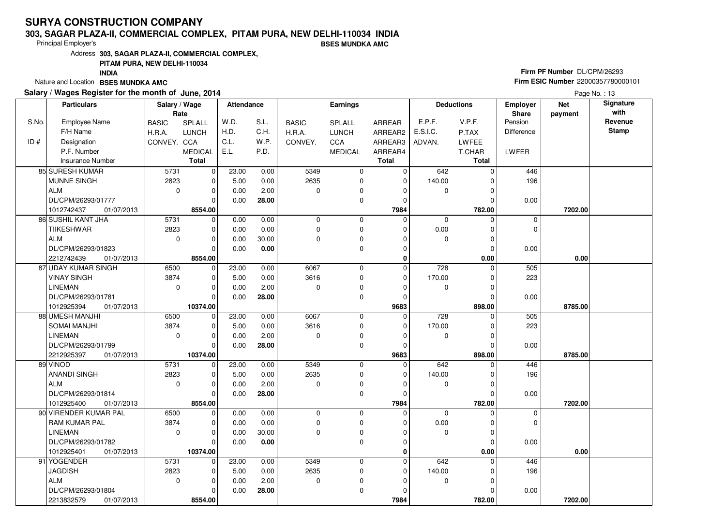### **303, SAGAR PLAZA-II, COMMERCIAL COMPLEX, PITAM PURA, NEW DELHI-110034 INDIABSES MUNDKA AMC**

Principal Employer's

Address**303, SAGAR PLAZA-II, COMMERCIAL COMPLEX,**

## **PITAM PURA, NEW DELHI-110034**

**INDIA**

Nature and Location **BSES MUNDKA AMC** 

### **Salary / Wages Register for the month of June, 2014**

# **Firm PF Number** DL/CPM/26293 **Firm ESIC Number** <sup>22000357780000101</sup>

|       | <b>Particulars</b>        | Salary / Wage<br>Rate |                | Attendance |       | Earnings     |                |                | <b>Deductions</b> |              | <b>Employer</b><br>Share | <b>Net</b><br>payment | Signature<br>with |
|-------|---------------------------|-----------------------|----------------|------------|-------|--------------|----------------|----------------|-------------------|--------------|--------------------------|-----------------------|-------------------|
| S.No. | <b>Employee Name</b>      | <b>BASIC</b>          | SPLALL         | W.D.       | S.L.  | <b>BASIC</b> | SPLALL         | <b>ARREAR</b>  | E.P.F.            | V.P.F.       | Pension                  |                       | Revenue           |
|       | F/H Name                  | H.R.A.                | <b>LUNCH</b>   | H.D.       | C.H.  | H.R.A.       | <b>LUNCH</b>   | ARREAR2        | E.S.I.C.          | P.TAX        | <b>Difference</b>        |                       | <b>Stamp</b>      |
| ID#   | Designation               | CONVEY. CCA           |                | C.L.       | W.P.  | CONVEY.      | CCA            | ARREAR3        | ADVAN.            | LWFEE        |                          |                       |                   |
|       | P.F. Number               |                       | <b>MEDICAL</b> | E.L.       | P.D.  |              | <b>MEDICAL</b> | ARREAR4        |                   | T.CHAR       | LWFER                    |                       |                   |
|       | <b>Insurance Number</b>   |                       | <b>Total</b>   |            |       |              |                | <b>Total</b>   |                   | <b>Total</b> |                          |                       |                   |
|       | 85 SURESH KUMAR           | 5731                  | 0              | 23.00      | 0.00  | 5349         | 0              | 0              | 642               | $\Omega$     | 446                      |                       |                   |
|       | <b>MUNNE SINGH</b>        | 2823                  | $\mathbf 0$    | 5.00       | 0.00  | 2635         | 0              | $\Omega$       | 140.00            | $\Omega$     | 196                      |                       |                   |
|       | ALM                       | $\mathbf 0$           | $\mathbf 0$    | 0.00       | 2.00  | $\mathbf 0$  | 0              | $\Omega$       | 0                 | $\Omega$     |                          |                       |                   |
|       | DL/CPM/26293/01777        |                       | $\Omega$       | 0.00       | 28.00 |              | 0              | $\Omega$       |                   | 0            | 0.00                     |                       |                   |
|       | 1012742437<br>01/07/2013  |                       | 8554.00        |            |       |              |                | 7984           |                   | 782.00       |                          | 7202.00               |                   |
|       | <b>86 SUSHIL KANT JHA</b> | 5731                  | $\mathbf 0$    | 0.00       | 0.00  | $\mathbf 0$  | 0              | $\Omega$       | 0                 | $\Omega$     | 0                        |                       |                   |
|       | <b>TIIKESHWAR</b>         | 2823                  | $\mathbf 0$    | 0.00       | 0.00  | $\mathbf 0$  | 0              | $\Omega$       | 0.00              | $\Omega$     | 0                        |                       |                   |
|       | ALM                       | $\mathbf 0$           | $\mathbf 0$    | 0.00       | 30.00 | $\mathbf 0$  | 0              | 0              | $\mathbf 0$       | $\Omega$     |                          |                       |                   |
|       | DL/CPM/26293/01823        |                       | $\Omega$       | 0.00       | 0.00  |              | 0              | $\Omega$       |                   | $\Omega$     | 0.00                     |                       |                   |
|       | 2212742439<br>01/07/2013  |                       | 8554.00        |            |       |              |                | 0              |                   | 0.00         |                          | 0.00                  |                   |
|       | 87 UDAY KUMAR SINGH       | 6500                  | $\mathbf 0$    | 23.00      | 0.00  | 6067         | 0              | $\Omega$       | 728               | 0            | 505                      |                       |                   |
|       | <b>VINAY SINGH</b>        | 3874                  | 0              | 5.00       | 0.00  | 3616         | 0              | 0              | 170.00            | 0            | 223                      |                       |                   |
|       | <b>LINEMAN</b>            | $\mathbf 0$           | $\mathbf 0$    | 0.00       | 2.00  | $\mathbf 0$  | 0              | $\Omega$       | 0                 | $\Omega$     |                          |                       |                   |
|       | DL/CPM/26293/01781        |                       | $\Omega$       | 0.00       | 28.00 |              | 0              | $\Omega$       |                   | $\Omega$     | 0.00                     |                       |                   |
|       | 1012925394<br>01/07/2013  |                       | 10374.00       |            |       |              |                | 9683           |                   | 898.00       |                          | 8785.00               |                   |
|       | 88 UMESH MANJHI           | 6500                  | 0              | 23.00      | 0.00  | 6067         | 0              | $\Omega$       | 728               | $\Omega$     | 505                      |                       |                   |
|       | <b>SOMAI MANJHI</b>       | 3874                  | $\mathbf 0$    | 5.00       | 0.00  | 3616         | 0              | $\mathbf 0$    | 170.00            | $\Omega$     | 223                      |                       |                   |
|       | LINEMAN                   | $\mathbf 0$           | $\mathbf 0$    | 0.00       | 2.00  | 0            | 0              | $\Omega$       | 0                 | $\Omega$     |                          |                       |                   |
|       | DL/CPM/26293/01799        |                       | $\Omega$       | 0.00       | 28.00 |              | 0              | $\Omega$       |                   | $\Omega$     | 0.00                     |                       |                   |
|       | 2212925397<br>01/07/2013  |                       | 10374.00       |            |       |              |                | 9683           |                   | 898.00       |                          | 8785.00               |                   |
|       | 89 VINOD                  | 5731                  | $\overline{0}$ | 23.00      | 0.00  | 5349         | 0              | $\mathbf 0$    | 642               | $\Omega$     | 446                      |                       |                   |
|       | <b>ANANDI SINGH</b>       | 2823                  | $\mathbf 0$    | 5.00       | 0.00  | 2635         | 0              | $\mathbf 0$    | 140.00            | $\Omega$     | 196                      |                       |                   |
|       | ALM                       | $\Omega$              | $\Omega$       | 0.00       | 2.00  | $\Omega$     | 0              | $\Omega$       | $\mathbf 0$       | $\Omega$     |                          |                       |                   |
|       | DL/CPM/26293/01814        |                       | $\Omega$       | 0.00       | 28.00 |              | 0              | $\Omega$       |                   | $\Omega$     | 0.00                     |                       |                   |
|       | 1012925400<br>01/07/2013  |                       | 8554.00        |            |       |              |                | 7984           |                   | 782.00       |                          | 7202.00               |                   |
|       | 90 VIRENDER KUMAR PAL     | 6500                  | $\overline{0}$ | 0.00       | 0.00  | $\mathbf 0$  | 0              | $\overline{0}$ | $\mathbf 0$       | $\Omega$     | $\mathbf 0$              |                       |                   |
|       | <b>RAM KUMAR PAL</b>      | 3874                  | $\mathbf 0$    | 0.00       | 0.00  | $\mathbf 0$  | 0              | $\Omega$       | 0.00              | 0            | 0                        |                       |                   |
|       | <b>LINEMAN</b>            | $\Omega$              | $\Omega$       | 0.00       | 30.00 | $\mathbf 0$  | 0              | $\Omega$       | $\mathbf 0$       | $\Omega$     |                          |                       |                   |
|       | DL/CPM/26293/01782        |                       | $\Omega$       | 0.00       | 0.00  |              | 0              | $\Omega$       |                   | $\Omega$     | 0.00                     |                       |                   |
|       | 1012925401<br>01/07/2013  |                       | 10374.00       |            |       |              |                | 0              |                   | 0.00         |                          | 0.00                  |                   |
|       | 91 YOGENDER               | 5731                  | $\mathbf 0$    | 23.00      | 0.00  | 5349         | 0              | 0              | 642               | $\Omega$     | 446                      |                       |                   |
|       | <b>JAGDISH</b>            | 2823                  | $\Omega$       | 5.00       | 0.00  | 2635         | 0              | $\Omega$       | 140.00            | $\Omega$     | 196                      |                       |                   |
|       | ALM                       | $\mathbf 0$           | $\mathbf 0$    | 0.00       | 2.00  | $\mathbf 0$  | 0              | $\Omega$       | $\mathbf 0$       | $\Omega$     |                          |                       |                   |
|       | DL/CPM/26293/01804        |                       | $\Omega$       | 0.00       | 28.00 |              | 0              | $\Omega$       |                   | 0            | 0.00                     |                       |                   |
|       | 2213832579<br>01/07/2013  |                       | 8554.00        |            |       |              |                | 7984           |                   | 782.00       |                          | 7202.00               |                   |